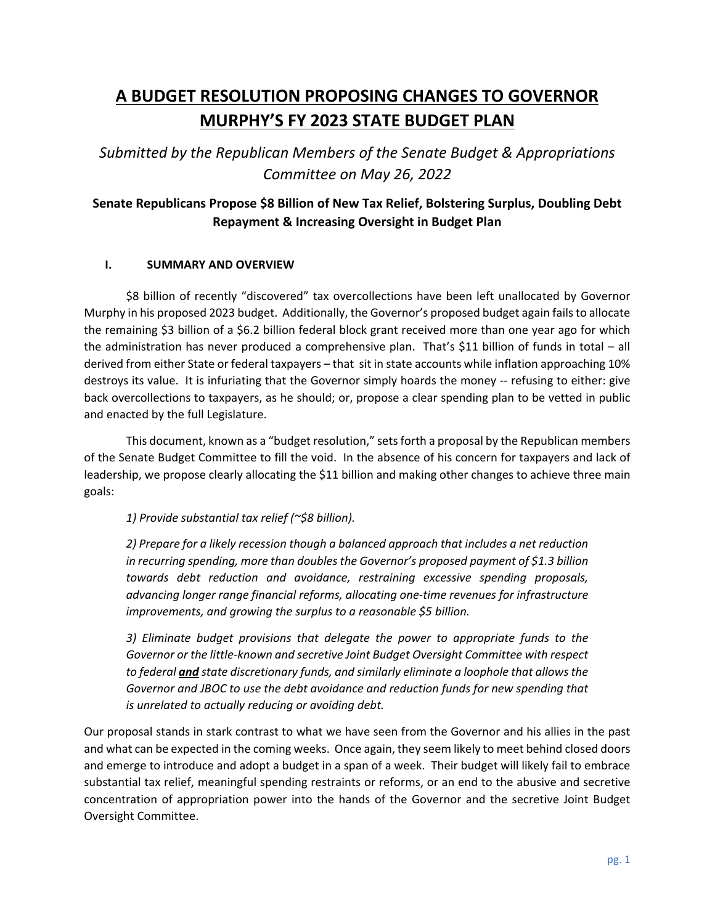# **A BUDGET RESOLUTION PROPOSING CHANGES TO GOVERNOR MURPHY'S FY 2023 STATE BUDGET PLAN**

*Submitted by the Republican Members of the Senate Budget & Appropriations Committee on May 26, 2022* 

# **Senate Republicans Propose \$8 Billion of New Tax Relief, Bolstering Surplus, Doubling Debt Repayment & Increasing Oversight in Budget Plan**

## **I. SUMMARY AND OVERVIEW**

\$8 billion of recently "discovered" tax overcollections have been left unallocated by Governor Murphy in his proposed 2023 budget. Additionally, the Governor's proposed budget again fails to allocate the remaining \$3 billion of a \$6.2 billion federal block grant received more than one year ago for which the administration has never produced a comprehensive plan. That's \$11 billion of funds in total – all derived from either State or federal taxpayers – that sit in state accounts while inflation approaching 10% destroys its value. It is infuriating that the Governor simply hoards the money -- refusing to either: give back overcollections to taxpayers, as he should; or, propose a clear spending plan to be vetted in public and enacted by the full Legislature.

This document, known as a "budget resolution," sets forth a proposal by the Republican members of the Senate Budget Committee to fill the void. In the absence of his concern for taxpayers and lack of leadership, we propose clearly allocating the \$11 billion and making other changes to achieve three main goals:

*1) Provide substantial tax relief (~\$8 billion).* 

*2) Prepare for a likely recession though a balanced approach that includes a net reduction in recurring spending, more than doubles the Governor's proposed payment of \$1.3 billion towards debt reduction and avoidance, restraining excessive spending proposals, advancing longer range financial reforms, allocating one-time revenues for infrastructure improvements, and growing the surplus to a reasonable \$5 billion.* 

*3) Eliminate budget provisions that delegate the power to appropriate funds to the Governor or the little-known and secretive Joint Budget Oversight Committee with respect to federal and state discretionary funds, and similarly eliminate a loophole that allows the Governor and JBOC to use the debt avoidance and reduction funds for new spending that is unrelated to actually reducing or avoiding debt.* 

Our proposal stands in stark contrast to what we have seen from the Governor and his allies in the past and what can be expected in the coming weeks. Once again, they seem likely to meet behind closed doors and emerge to introduce and adopt a budget in a span of a week. Their budget will likely fail to embrace substantial tax relief, meaningful spending restraints or reforms, or an end to the abusive and secretive concentration of appropriation power into the hands of the Governor and the secretive Joint Budget Oversight Committee.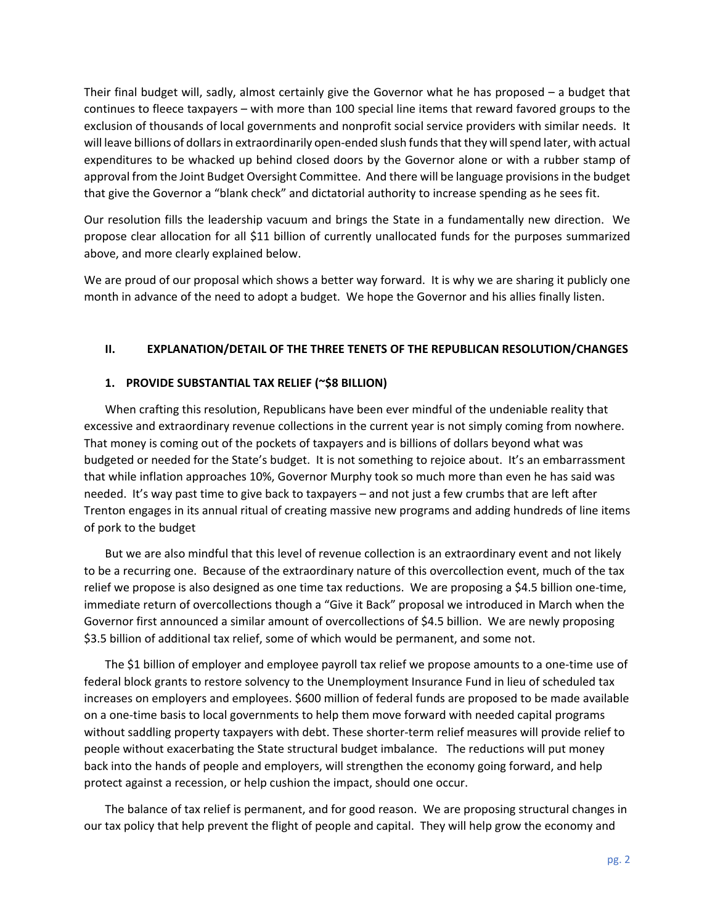Their final budget will, sadly, almost certainly give the Governor what he has proposed – a budget that continues to fleece taxpayers – with more than 100 special line items that reward favored groups to the exclusion of thousands of local governments and nonprofit social service providers with similar needs. It will leave billions of dollars in extraordinarily open-ended slush funds that they will spend later, with actual expenditures to be whacked up behind closed doors by the Governor alone or with a rubber stamp of approval from the Joint Budget Oversight Committee. And there will be language provisions in the budget that give the Governor a "blank check" and dictatorial authority to increase spending as he sees fit.

Our resolution fills the leadership vacuum and brings the State in a fundamentally new direction. We propose clear allocation for all \$11 billion of currently unallocated funds for the purposes summarized above, and more clearly explained below.

We are proud of our proposal which shows a better way forward. It is why we are sharing it publicly one month in advance of the need to adopt a budget. We hope the Governor and his allies finally listen.

#### **II. EXPLANATION/DETAIL OF THE THREE TENETS OF THE REPUBLICAN RESOLUTION/CHANGES**

#### **1. PROVIDE SUBSTANTIAL TAX RELIEF (~\$8 BILLION)**

When crafting this resolution, Republicans have been ever mindful of the undeniable reality that excessive and extraordinary revenue collections in the current year is not simply coming from nowhere. That money is coming out of the pockets of taxpayers and is billions of dollars beyond what was budgeted or needed for the State's budget. It is not something to rejoice about. It's an embarrassment that while inflation approaches 10%, Governor Murphy took so much more than even he has said was needed. It's way past time to give back to taxpayers – and not just a few crumbs that are left after Trenton engages in its annual ritual of creating massive new programs and adding hundreds of line items of pork to the budget

But we are also mindful that this level of revenue collection is an extraordinary event and not likely to be a recurring one. Because of the extraordinary nature of this overcollection event, much of the tax relief we propose is also designed as one time tax reductions. We are proposing a \$4.5 billion one-time, immediate return of overcollections though a "Give it Back" proposal we introduced in March when the Governor first announced a similar amount of overcollections of \$4.5 billion. We are newly proposing \$3.5 billion of additional tax relief, some of which would be permanent, and some not.

The \$1 billion of employer and employee payroll tax relief we propose amounts to a one-time use of federal block grants to restore solvency to the Unemployment Insurance Fund in lieu of scheduled tax increases on employers and employees. \$600 million of federal funds are proposed to be made available on a one-time basis to local governments to help them move forward with needed capital programs without saddling property taxpayers with debt. These shorter-term relief measures will provide relief to people without exacerbating the State structural budget imbalance. The reductions will put money back into the hands of people and employers, will strengthen the economy going forward, and help protect against a recession, or help cushion the impact, should one occur.

The balance of tax relief is permanent, and for good reason. We are proposing structural changes in our tax policy that help prevent the flight of people and capital. They will help grow the economy and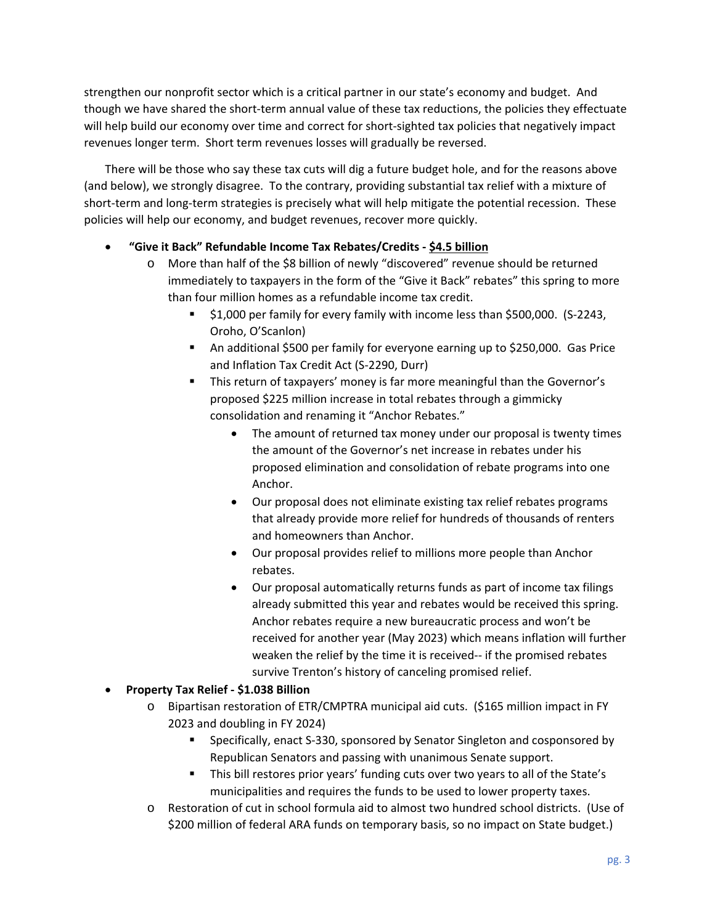strengthen our nonprofit sector which is a critical partner in our state's economy and budget. And though we have shared the short-term annual value of these tax reductions, the policies they effectuate will help build our economy over time and correct for short-sighted tax policies that negatively impact revenues longer term. Short term revenues losses will gradually be reversed.

There will be those who say these tax cuts will dig a future budget hole, and for the reasons above (and below), we strongly disagree. To the contrary, providing substantial tax relief with a mixture of short-term and long-term strategies is precisely what will help mitigate the potential recession. These policies will help our economy, and budget revenues, recover more quickly.

## **"Give it Back" Refundable Income Tax Rebates/Credits - \$4.5 billion**

- o More than half of the \$8 billion of newly "discovered" revenue should be returned immediately to taxpayers in the form of the "Give it Back" rebates" this spring to more than four million homes as a refundable income tax credit.
	- \$1,000 per family for every family with income less than \$500,000. (S-2243, Oroho, O'Scanlon)
	- An additional \$500 per family for everyone earning up to \$250,000. Gas Price and Inflation Tax Credit Act (S-2290, Durr)
	- This return of taxpayers' money is far more meaningful than the Governor's proposed \$225 million increase in total rebates through a gimmicky consolidation and renaming it "Anchor Rebates."
		- The amount of returned tax money under our proposal is twenty times the amount of the Governor's net increase in rebates under his proposed elimination and consolidation of rebate programs into one Anchor.
		- Our proposal does not eliminate existing tax relief rebates programs that already provide more relief for hundreds of thousands of renters and homeowners than Anchor.
		- Our proposal provides relief to millions more people than Anchor rebates.
		- Our proposal automatically returns funds as part of income tax filings already submitted this year and rebates would be received this spring. Anchor rebates require a new bureaucratic process and won't be received for another year (May 2023) which means inflation will further weaken the relief by the time it is received-- if the promised rebates survive Trenton's history of canceling promised relief.

## **Property Tax Relief - \$1.038 Billion**

- o Bipartisan restoration of ETR/CMPTRA municipal aid cuts. (\$165 million impact in FY 2023 and doubling in FY 2024)
	- Specifically, enact S-330, sponsored by Senator Singleton and cosponsored by Republican Senators and passing with unanimous Senate support.
	- This bill restores prior years' funding cuts over two years to all of the State's municipalities and requires the funds to be used to lower property taxes.
- o Restoration of cut in school formula aid to almost two hundred school districts. (Use of \$200 million of federal ARA funds on temporary basis, so no impact on State budget.)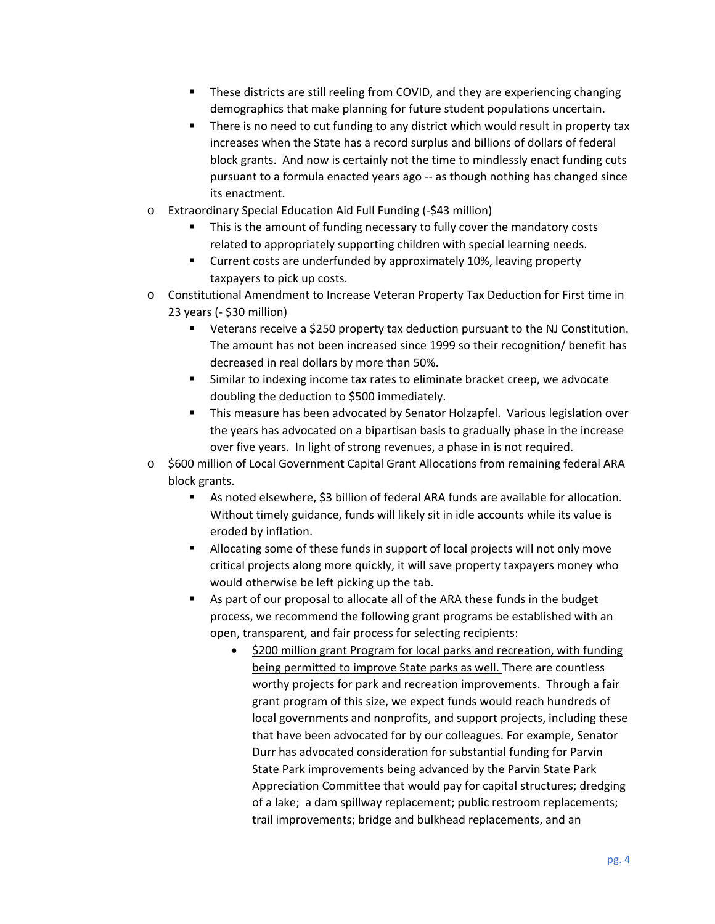- These districts are still reeling from COVID, and they are experiencing changing demographics that make planning for future student populations uncertain.
- There is no need to cut funding to any district which would result in property tax increases when the State has a record surplus and billions of dollars of federal block grants. And now is certainly not the time to mindlessly enact funding cuts pursuant to a formula enacted years ago -- as though nothing has changed since its enactment.
- o Extraordinary Special Education Aid Full Funding (-\$43 million)
	- This is the amount of funding necessary to fully cover the mandatory costs related to appropriately supporting children with special learning needs.
	- **EXECUTE:** Current costs are underfunded by approximately 10%, leaving property taxpayers to pick up costs.
- o Constitutional Amendment to Increase Veteran Property Tax Deduction for First time in 23 years (- \$30 million)
	- Veterans receive a \$250 property tax deduction pursuant to the NJ Constitution. The amount has not been increased since 1999 so their recognition/ benefit has decreased in real dollars by more than 50%.
	- Similar to indexing income tax rates to eliminate bracket creep, we advocate doubling the deduction to \$500 immediately.
	- This measure has been advocated by Senator Holzapfel. Various legislation over the years has advocated on a bipartisan basis to gradually phase in the increase over five years. In light of strong revenues, a phase in is not required.
- o \$600 million of Local Government Capital Grant Allocations from remaining federal ARA block grants.
	- As noted elsewhere, \$3 billion of federal ARA funds are available for allocation. Without timely guidance, funds will likely sit in idle accounts while its value is eroded by inflation.
	- Allocating some of these funds in support of local projects will not only move critical projects along more quickly, it will save property taxpayers money who would otherwise be left picking up the tab.
	- As part of our proposal to allocate all of the ARA these funds in the budget process, we recommend the following grant programs be established with an open, transparent, and fair process for selecting recipients:
		- \$200 million grant Program for local parks and recreation, with funding being permitted to improve State parks as well. There are countless worthy projects for park and recreation improvements. Through a fair grant program of this size, we expect funds would reach hundreds of local governments and nonprofits, and support projects, including these that have been advocated for by our colleagues. For example, Senator Durr has advocated consideration for substantial funding for Parvin State Park improvements being advanced by the Parvin State Park Appreciation Committee that would pay for capital structures; dredging of a lake; a dam spillway replacement; public restroom replacements; trail improvements; bridge and bulkhead replacements, and an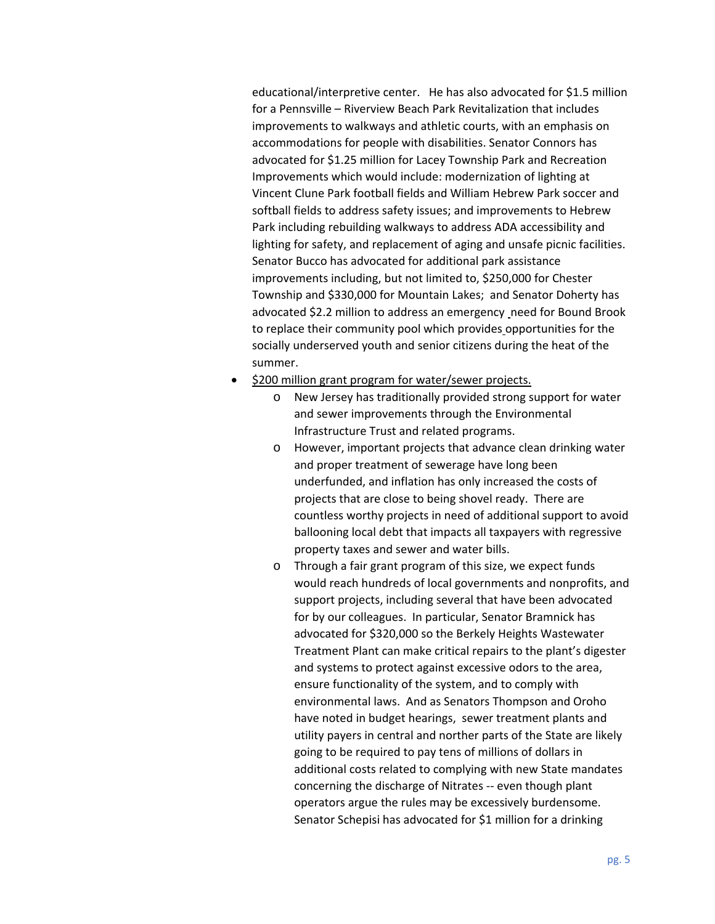educational/interpretive center. He has also advocated for \$1.5 million for a Pennsville – Riverview Beach Park Revitalization that includes improvements to walkways and athletic courts, with an emphasis on accommodations for people with disabilities. Senator Connors has advocated for \$1.25 million for Lacey Township Park and Recreation Improvements which would include: modernization of lighting at Vincent Clune Park football fields and William Hebrew Park soccer and softball fields to address safety issues; and improvements to Hebrew Park including rebuilding walkways to address ADA accessibility and lighting for safety, and replacement of aging and unsafe picnic facilities. Senator Bucco has advocated for additional park assistance improvements including, but not limited to, \$250,000 for Chester Township and \$330,000 for Mountain Lakes; and Senator Doherty has advocated \$2.2 million to address an emergency need for Bound Brook to replace their community pool which provides opportunities for the socially underserved youth and senior citizens during the heat of the summer.

- \$200 million grant program for water/sewer projects.
	- o New Jersey has traditionally provided strong support for water and sewer improvements through the Environmental Infrastructure Trust and related programs.
	- o However, important projects that advance clean drinking water and proper treatment of sewerage have long been underfunded, and inflation has only increased the costs of projects that are close to being shovel ready. There are countless worthy projects in need of additional support to avoid ballooning local debt that impacts all taxpayers with regressive property taxes and sewer and water bills.
	- o Through a fair grant program of this size, we expect funds would reach hundreds of local governments and nonprofits, and support projects, including several that have been advocated for by our colleagues. In particular, Senator Bramnick has advocated for \$320,000 so the Berkely Heights Wastewater Treatment Plant can make critical repairs to the plant's digester and systems to protect against excessive odors to the area, ensure functionality of the system, and to comply with environmental laws. And as Senators Thompson and Oroho have noted in budget hearings, sewer treatment plants and utility payers in central and norther parts of the State are likely going to be required to pay tens of millions of dollars in additional costs related to complying with new State mandates concerning the discharge of Nitrates -- even though plant operators argue the rules may be excessively burdensome. Senator Schepisi has advocated for \$1 million for a drinking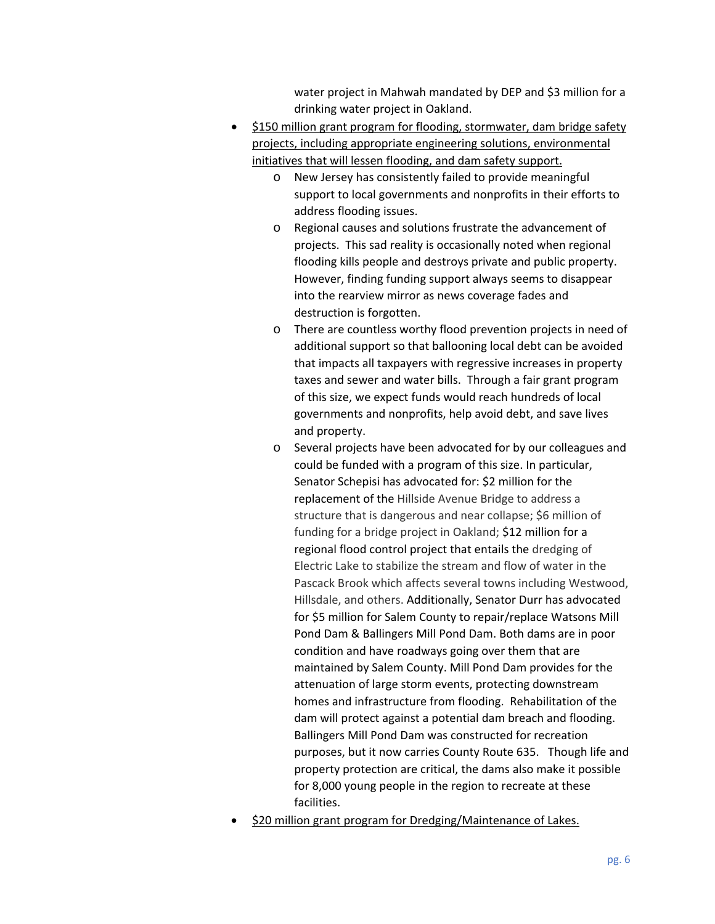water project in Mahwah mandated by DEP and \$3 million for a drinking water project in Oakland.

- \$150 million grant program for flooding, stormwater, dam bridge safety projects, including appropriate engineering solutions, environmental initiatives that will lessen flooding, and dam safety support.
	- o New Jersey has consistently failed to provide meaningful support to local governments and nonprofits in their efforts to address flooding issues.
	- o Regional causes and solutions frustrate the advancement of projects. This sad reality is occasionally noted when regional flooding kills people and destroys private and public property. However, finding funding support always seems to disappear into the rearview mirror as news coverage fades and destruction is forgotten.
	- o There are countless worthy flood prevention projects in need of additional support so that ballooning local debt can be avoided that impacts all taxpayers with regressive increases in property taxes and sewer and water bills. Through a fair grant program of this size, we expect funds would reach hundreds of local governments and nonprofits, help avoid debt, and save lives and property.
	- o Several projects have been advocated for by our colleagues and could be funded with a program of this size. In particular, Senator Schepisi has advocated for: \$2 million for the replacement of the Hillside Avenue Bridge to address a structure that is dangerous and near collapse; \$6 million of funding for a bridge project in Oakland; \$12 million for a regional flood control project that entails the dredging of Electric Lake to stabilize the stream and flow of water in the Pascack Brook which affects several towns including Westwood, Hillsdale, and others. Additionally, Senator Durr has advocated for \$5 million for Salem County to repair/replace Watsons Mill Pond Dam & Ballingers Mill Pond Dam. Both dams are in poor condition and have roadways going over them that are maintained by Salem County. Mill Pond Dam provides for the attenuation of large storm events, protecting downstream homes and infrastructure from flooding. Rehabilitation of the dam will protect against a potential dam breach and flooding. Ballingers Mill Pond Dam was constructed for recreation purposes, but it now carries County Route 635. Though life and property protection are critical, the dams also make it possible for 8,000 young people in the region to recreate at these facilities.
- \$20 million grant program for Dredging/Maintenance of Lakes.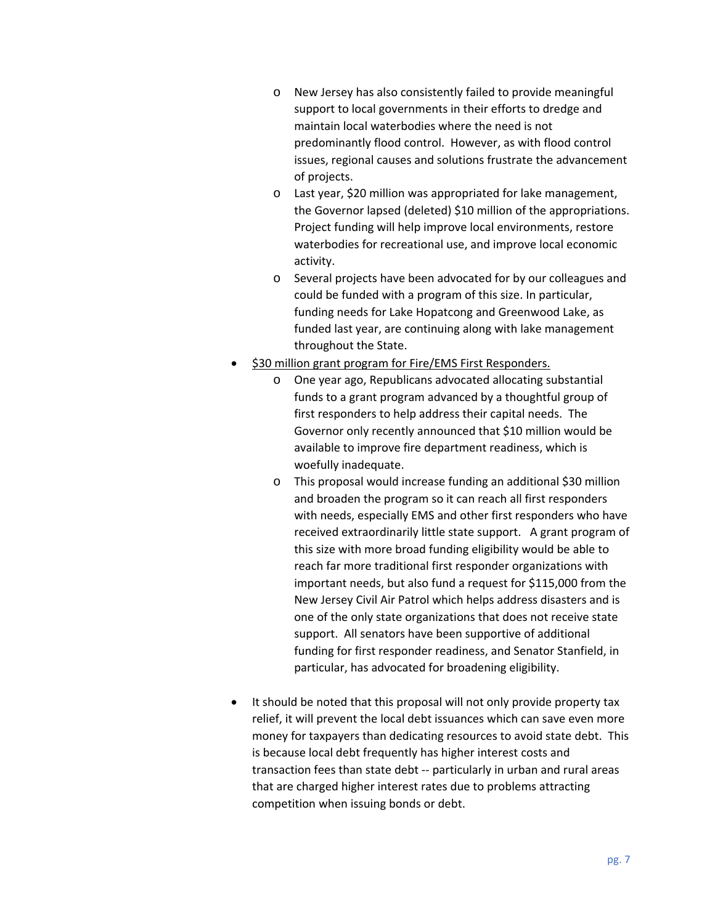- o New Jersey has also consistently failed to provide meaningful support to local governments in their efforts to dredge and maintain local waterbodies where the need is not predominantly flood control. However, as with flood control issues, regional causes and solutions frustrate the advancement of projects.
- o Last year, \$20 million was appropriated for lake management, the Governor lapsed (deleted) \$10 million of the appropriations. Project funding will help improve local environments, restore waterbodies for recreational use, and improve local economic activity.
- o Several projects have been advocated for by our colleagues and could be funded with a program of this size. In particular, funding needs for Lake Hopatcong and Greenwood Lake, as funded last year, are continuing along with lake management throughout the State.
- \$30 million grant program for Fire/EMS First Responders.
	- o One year ago, Republicans advocated allocating substantial funds to a grant program advanced by a thoughtful group of first responders to help address their capital needs. The Governor only recently announced that \$10 million would be available to improve fire department readiness, which is woefully inadequate.
	- o This proposal would increase funding an additional \$30 million and broaden the program so it can reach all first responders with needs, especially EMS and other first responders who have received extraordinarily little state support. A grant program of this size with more broad funding eligibility would be able to reach far more traditional first responder organizations with important needs, but also fund a request for \$115,000 from the New Jersey Civil Air Patrol which helps address disasters and is one of the only state organizations that does not receive state support. All senators have been supportive of additional funding for first responder readiness, and Senator Stanfield, in particular, has advocated for broadening eligibility.
- It should be noted that this proposal will not only provide property tax relief, it will prevent the local debt issuances which can save even more money for taxpayers than dedicating resources to avoid state debt. This is because local debt frequently has higher interest costs and transaction fees than state debt -- particularly in urban and rural areas that are charged higher interest rates due to problems attracting competition when issuing bonds or debt.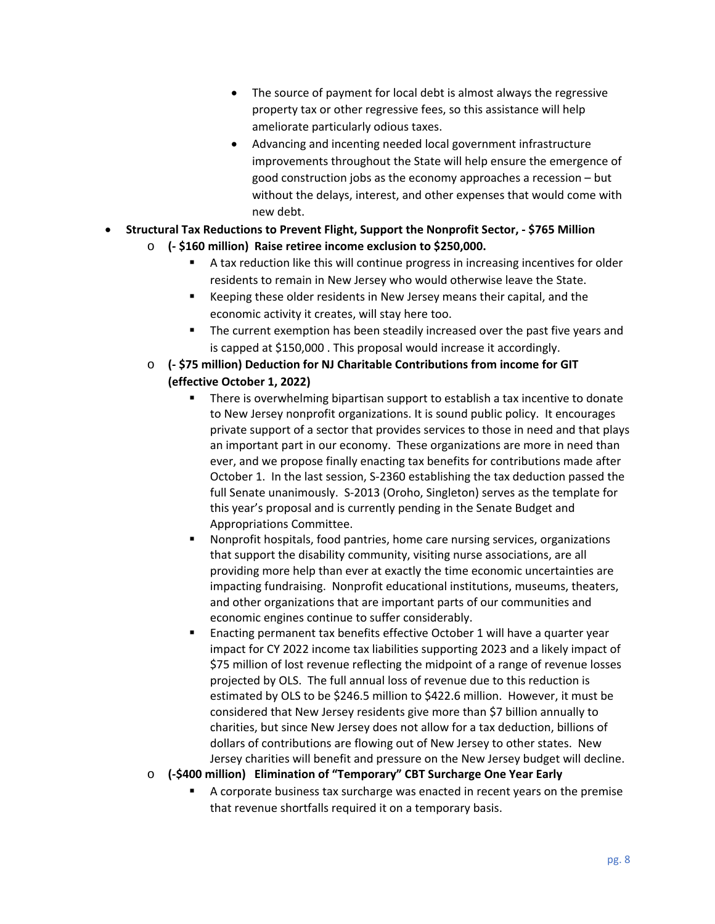- The source of payment for local debt is almost always the regressive property tax or other regressive fees, so this assistance will help ameliorate particularly odious taxes.
- Advancing and incenting needed local government infrastructure improvements throughout the State will help ensure the emergence of good construction jobs as the economy approaches a recession – but without the delays, interest, and other expenses that would come with new debt.
- **Structural Tax Reductions to Prevent Flight, Support the Nonprofit Sector, \$765 Million** 
	- o **(- \$160 million) Raise retiree income exclusion to \$250,000.** 
		- A tax reduction like this will continue progress in increasing incentives for older residents to remain in New Jersey who would otherwise leave the State.
		- Keeping these older residents in New Jersey means their capital, and the economic activity it creates, will stay here too.
		- The current exemption has been steadily increased over the past five years and is capped at \$150,000 . This proposal would increase it accordingly.
	- o **(- \$75 million) Deduction for NJ Charitable Contributions from income for GIT (effective October 1, 2022)** 
		- There is overwhelming bipartisan support to establish a tax incentive to donate to New Jersey nonprofit organizations. It is sound public policy. It encourages private support of a sector that provides services to those in need and that plays an important part in our economy. These organizations are more in need than ever, and we propose finally enacting tax benefits for contributions made after October 1. In the last session, S-2360 establishing the tax deduction passed the full Senate unanimously. S-2013 (Oroho, Singleton) serves as the template for this year's proposal and is currently pending in the Senate Budget and Appropriations Committee.
		- Nonprofit hospitals, food pantries, home care nursing services, organizations that support the disability community, visiting nurse associations, are all providing more help than ever at exactly the time economic uncertainties are impacting fundraising. Nonprofit educational institutions, museums, theaters, and other organizations that are important parts of our communities and economic engines continue to suffer considerably.
		- Enacting permanent tax benefits effective October 1 will have a quarter year impact for CY 2022 income tax liabilities supporting 2023 and a likely impact of \$75 million of lost revenue reflecting the midpoint of a range of revenue losses projected by OLS. The full annual loss of revenue due to this reduction is estimated by OLS to be \$246.5 million to \$422.6 million. However, it must be considered that New Jersey residents give more than \$7 billion annually to charities, but since New Jersey does not allow for a tax deduction, billions of dollars of contributions are flowing out of New Jersey to other states. New Jersey charities will benefit and pressure on the New Jersey budget will decline.
	- o **(-\$400 million) Elimination of "Temporary" CBT Surcharge One Year Early** 
		- A corporate business tax surcharge was enacted in recent years on the premise that revenue shortfalls required it on a temporary basis.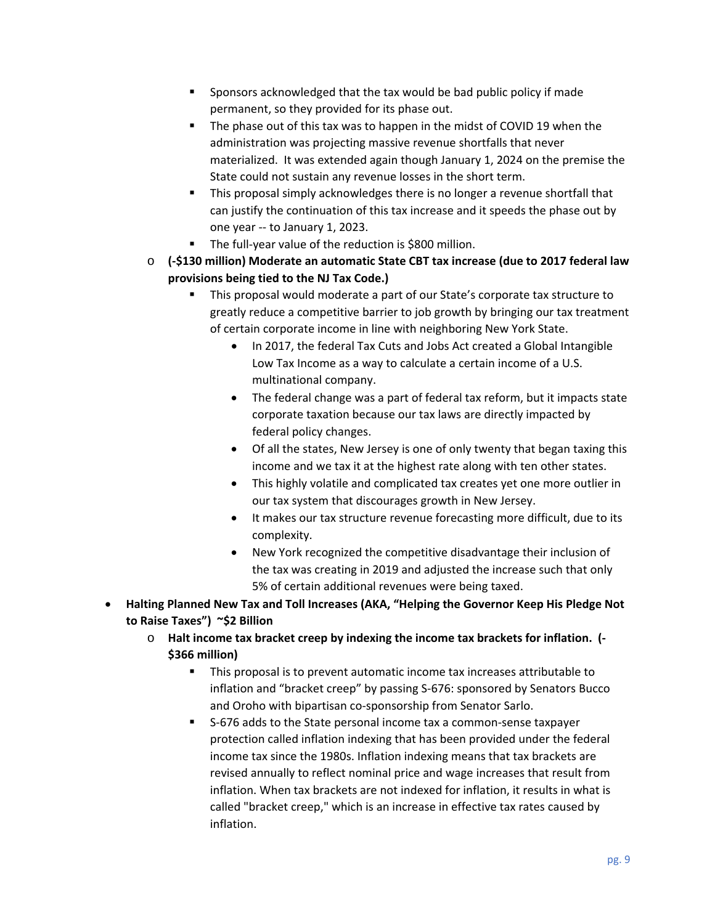- Sponsors acknowledged that the tax would be bad public policy if made permanent, so they provided for its phase out.
- The phase out of this tax was to happen in the midst of COVID 19 when the administration was projecting massive revenue shortfalls that never materialized. It was extended again though January 1, 2024 on the premise the State could not sustain any revenue losses in the short term.
- This proposal simply acknowledges there is no longer a revenue shortfall that can justify the continuation of this tax increase and it speeds the phase out by one year -- to January 1, 2023.
- The full-year value of the reduction is \$800 million.
- o **(-\$130 million) Moderate an automatic State CBT tax increase (due to 2017 federal law provisions being tied to the NJ Tax Code.)** 
	- This proposal would moderate a part of our State's corporate tax structure to greatly reduce a competitive barrier to job growth by bringing our tax treatment of certain corporate income in line with neighboring New York State.
		- In 2017, the federal Tax Cuts and Jobs Act created a Global Intangible Low Tax Income as a way to calculate a certain income of a U.S. multinational company.
		- The federal change was a part of federal tax reform, but it impacts state corporate taxation because our tax laws are directly impacted by federal policy changes.
		- Of all the states, New Jersey is one of only twenty that began taxing this income and we tax it at the highest rate along with ten other states.
		- This highly volatile and complicated tax creates yet one more outlier in our tax system that discourages growth in New Jersey.
		- It makes our tax structure revenue forecasting more difficult, due to its complexity.
		- New York recognized the competitive disadvantage their inclusion of the tax was creating in 2019 and adjusted the increase such that only 5% of certain additional revenues were being taxed.
- **Halting Planned New Tax and Toll Increases (AKA, "Helping the Governor Keep His Pledge Not to Raise Taxes") ~\$2 Billion** 
	- o **Halt income tax bracket creep by indexing the income tax brackets for inflation. (- \$366 million)** 
		- This proposal is to prevent automatic income tax increases attributable to inflation and "bracket creep" by passing S-676: sponsored by Senators Bucco and Oroho with bipartisan co-sponsorship from Senator Sarlo.
		- S-676 adds to the State personal income tax a common-sense taxpayer protection called inflation indexing that has been provided under the federal income tax since the 1980s. Inflation indexing means that tax brackets are revised annually to reflect nominal price and wage increases that result from inflation. When tax brackets are not indexed for inflation, it results in what is called "bracket creep," which is an increase in effective tax rates caused by inflation.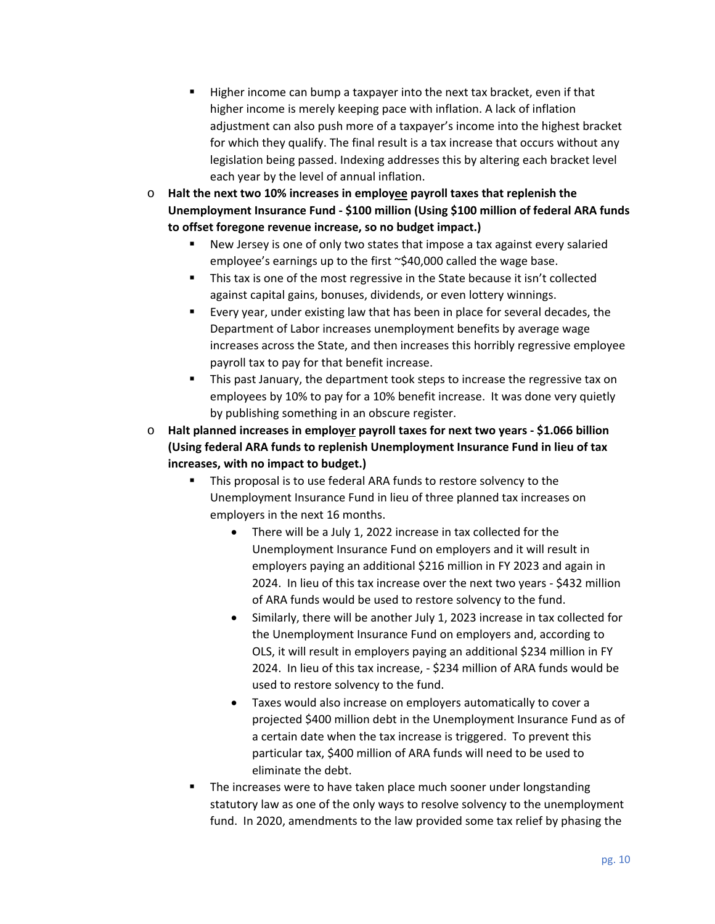- Higher income can bump a taxpayer into the next tax bracket, even if that higher income is merely keeping pace with inflation. A lack of inflation adjustment can also push more of a taxpayer's income into the highest bracket for which they qualify. The final result is a tax increase that occurs without any legislation being passed. Indexing addresses this by altering each bracket level each year by the level of annual inflation.
- o **Halt the next two 10% increases in employee payroll taxes that replenish the Unemployment Insurance Fund - \$100 million (Using \$100 million of federal ARA funds to offset foregone revenue increase, so no budget impact.)** 
	- New Jersey is one of only two states that impose a tax against every salaried employee's earnings up to the first ~\$40,000 called the wage base.
	- This tax is one of the most regressive in the State because it isn't collected against capital gains, bonuses, dividends, or even lottery winnings.
	- Every year, under existing law that has been in place for several decades, the Department of Labor increases unemployment benefits by average wage increases across the State, and then increases this horribly regressive employee payroll tax to pay for that benefit increase.
	- **This past January, the department took steps to increase the regressive tax on** employees by 10% to pay for a 10% benefit increase. It was done very quietly by publishing something in an obscure register.
- o **Halt planned increases in employer payroll taxes for next two years \$1.066 billion (Using federal ARA funds to replenish Unemployment Insurance Fund in lieu of tax increases, with no impact to budget.)** 
	- This proposal is to use federal ARA funds to restore solvency to the Unemployment Insurance Fund in lieu of three planned tax increases on employers in the next 16 months.
		- There will be a July 1, 2022 increase in tax collected for the Unemployment Insurance Fund on employers and it will result in employers paying an additional \$216 million in FY 2023 and again in 2024. In lieu of this tax increase over the next two years - \$432 million of ARA funds would be used to restore solvency to the fund.
		- Similarly, there will be another July 1, 2023 increase in tax collected for the Unemployment Insurance Fund on employers and, according to OLS, it will result in employers paying an additional \$234 million in FY 2024. In lieu of this tax increase, - \$234 million of ARA funds would be used to restore solvency to the fund.
		- Taxes would also increase on employers automatically to cover a projected \$400 million debt in the Unemployment Insurance Fund as of a certain date when the tax increase is triggered. To prevent this particular tax, \$400 million of ARA funds will need to be used to eliminate the debt.
	- The increases were to have taken place much sooner under longstanding statutory law as one of the only ways to resolve solvency to the unemployment fund. In 2020, amendments to the law provided some tax relief by phasing the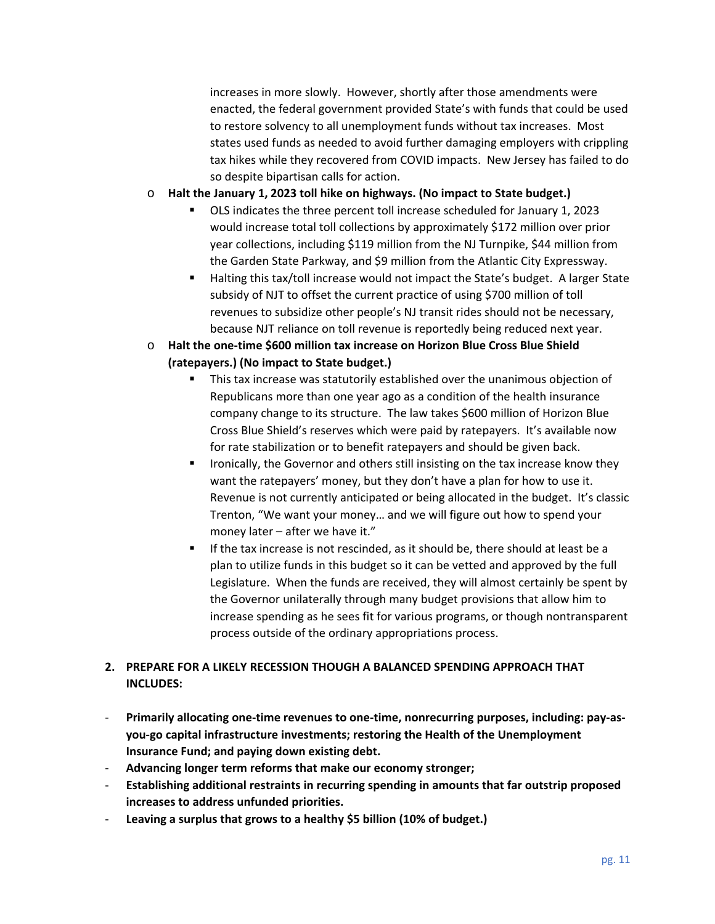increases in more slowly. However, shortly after those amendments were enacted, the federal government provided State's with funds that could be used to restore solvency to all unemployment funds without tax increases. Most states used funds as needed to avoid further damaging employers with crippling tax hikes while they recovered from COVID impacts. New Jersey has failed to do so despite bipartisan calls for action.

- o **Halt the January 1, 2023 toll hike on highways. (No impact to State budget.)** 
	- OLS indicates the three percent toll increase scheduled for January 1, 2023 would increase total toll collections by approximately \$172 million over prior year collections, including \$119 million from the NJ Turnpike, \$44 million from the Garden State Parkway, and \$9 million from the Atlantic City Expressway.
	- Halting this tax/toll increase would not impact the State's budget. A larger State subsidy of NJT to offset the current practice of using \$700 million of toll revenues to subsidize other people's NJ transit rides should not be necessary, because NJT reliance on toll revenue is reportedly being reduced next year.
- o **Halt the one-time \$600 million tax increase on Horizon Blue Cross Blue Shield (ratepayers.) (No impact to State budget.)** 
	- This tax increase was statutorily established over the unanimous objection of Republicans more than one year ago as a condition of the health insurance company change to its structure. The law takes \$600 million of Horizon Blue Cross Blue Shield's reserves which were paid by ratepayers. It's available now for rate stabilization or to benefit ratepayers and should be given back.
	- Ironically, the Governor and others still insisting on the tax increase know they want the ratepayers' money, but they don't have a plan for how to use it. Revenue is not currently anticipated or being allocated in the budget. It's classic Trenton, "We want your money… and we will figure out how to spend your money later – after we have it."
	- If the tax increase is not rescinded, as it should be, there should at least be a plan to utilize funds in this budget so it can be vetted and approved by the full Legislature. When the funds are received, they will almost certainly be spent by the Governor unilaterally through many budget provisions that allow him to increase spending as he sees fit for various programs, or though nontransparent process outside of the ordinary appropriations process.

## **2. PREPARE FOR A LIKELY RECESSION THOUGH A BALANCED SPENDING APPROACH THAT INCLUDES:**

- **Primarily allocating one-time revenues to one-time, nonrecurring purposes, including: pay-asyou-go capital infrastructure investments; restoring the Health of the Unemployment Insurance Fund; and paying down existing debt.**
- **Advancing longer term reforms that make our economy stronger;**
- **Establishing additional restraints in recurring spending in amounts that far outstrip proposed increases to address unfunded priorities.**
- **Leaving a surplus that grows to a healthy \$5 billion (10% of budget.)**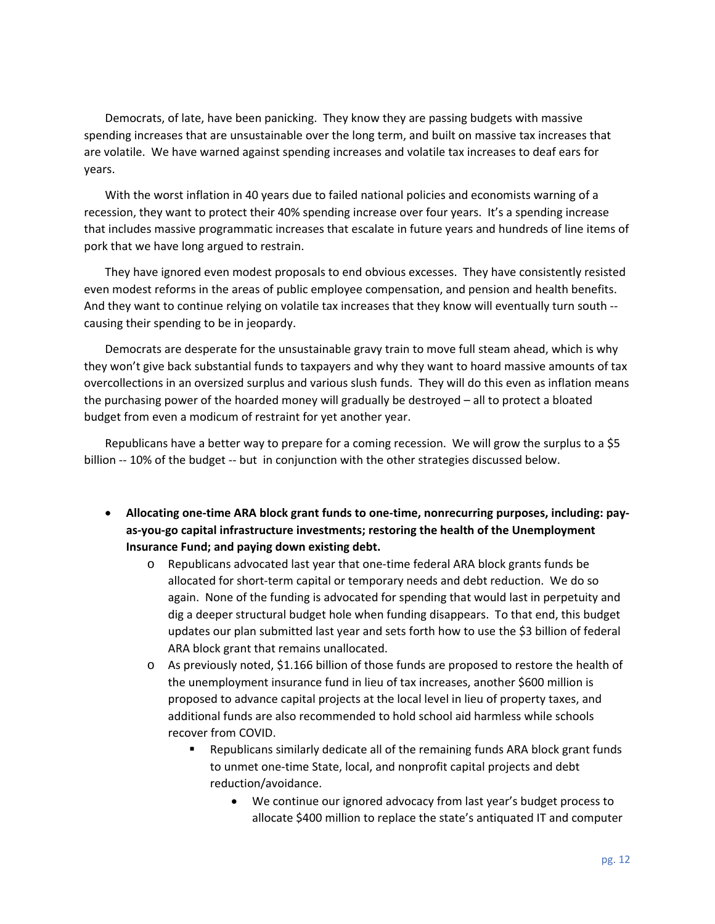Democrats, of late, have been panicking. They know they are passing budgets with massive spending increases that are unsustainable over the long term, and built on massive tax increases that are volatile. We have warned against spending increases and volatile tax increases to deaf ears for years.

With the worst inflation in 40 years due to failed national policies and economists warning of a recession, they want to protect their 40% spending increase over four years. It's a spending increase that includes massive programmatic increases that escalate in future years and hundreds of line items of pork that we have long argued to restrain.

They have ignored even modest proposals to end obvious excesses. They have consistently resisted even modest reforms in the areas of public employee compensation, and pension and health benefits. And they want to continue relying on volatile tax increases that they know will eventually turn south -causing their spending to be in jeopardy.

Democrats are desperate for the unsustainable gravy train to move full steam ahead, which is why they won't give back substantial funds to taxpayers and why they want to hoard massive amounts of tax overcollections in an oversized surplus and various slush funds. They will do this even as inflation means the purchasing power of the hoarded money will gradually be destroyed – all to protect a bloated budget from even a modicum of restraint for yet another year.

Republicans have a better way to prepare for a coming recession. We will grow the surplus to a \$5 billion -- 10% of the budget -- but in conjunction with the other strategies discussed below.

- **Allocating one-time ARA block grant funds to one-time, nonrecurring purposes, including: payas-you-go capital infrastructure investments; restoring the health of the Unemployment Insurance Fund; and paying down existing debt.** 
	- o Republicans advocated last year that one-time federal ARA block grants funds be allocated for short-term capital or temporary needs and debt reduction. We do so again. None of the funding is advocated for spending that would last in perpetuity and dig a deeper structural budget hole when funding disappears. To that end, this budget updates our plan submitted last year and sets forth how to use the \$3 billion of federal ARA block grant that remains unallocated.
	- o As previously noted, \$1.166 billion of those funds are proposed to restore the health of the unemployment insurance fund in lieu of tax increases, another \$600 million is proposed to advance capital projects at the local level in lieu of property taxes, and additional funds are also recommended to hold school aid harmless while schools recover from COVID.
		- Republicans similarly dedicate all of the remaining funds ARA block grant funds to unmet one-time State, local, and nonprofit capital projects and debt reduction/avoidance.
			- We continue our ignored advocacy from last year's budget process to allocate \$400 million to replace the state's antiquated IT and computer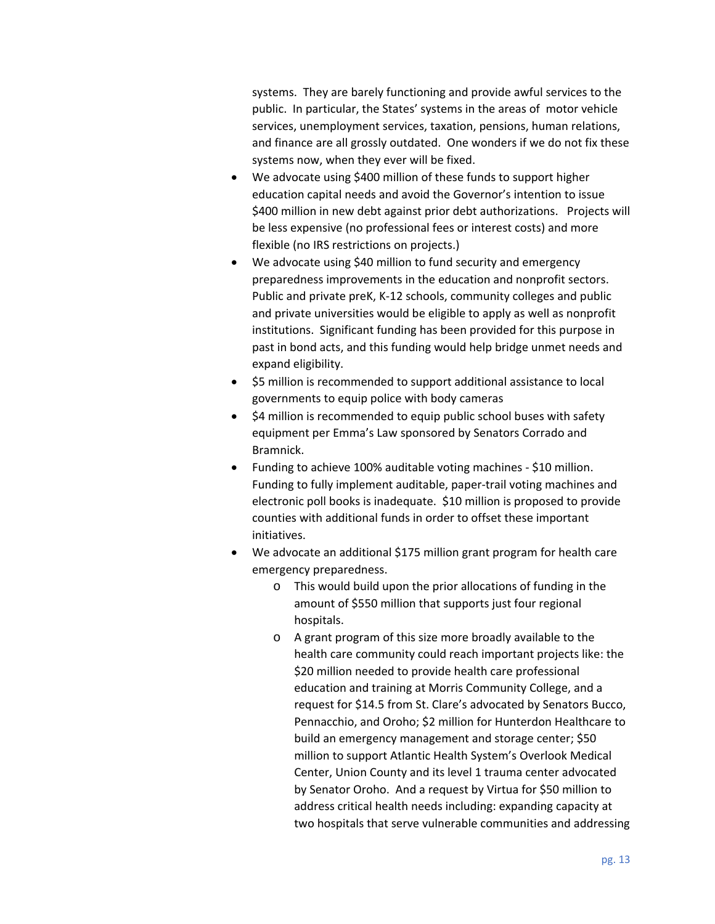systems. They are barely functioning and provide awful services to the public. In particular, the States' systems in the areas of motor vehicle services, unemployment services, taxation, pensions, human relations, and finance are all grossly outdated. One wonders if we do not fix these systems now, when they ever will be fixed.

- We advocate using \$400 million of these funds to support higher education capital needs and avoid the Governor's intention to issue \$400 million in new debt against prior debt authorizations. Projects will be less expensive (no professional fees or interest costs) and more flexible (no IRS restrictions on projects.)
- We advocate using \$40 million to fund security and emergency preparedness improvements in the education and nonprofit sectors. Public and private preK, K-12 schools, community colleges and public and private universities would be eligible to apply as well as nonprofit institutions. Significant funding has been provided for this purpose in past in bond acts, and this funding would help bridge unmet needs and expand eligibility.
- \$5 million is recommended to support additional assistance to local governments to equip police with body cameras
- \$4 million is recommended to equip public school buses with safety equipment per Emma's Law sponsored by Senators Corrado and Bramnick.
- Funding to achieve 100% auditable voting machines \$10 million. Funding to fully implement auditable, paper-trail voting machines and electronic poll books is inadequate. \$10 million is proposed to provide counties with additional funds in order to offset these important initiatives.
- We advocate an additional \$175 million grant program for health care emergency preparedness.
	- o This would build upon the prior allocations of funding in the amount of \$550 million that supports just four regional hospitals.
	- o A grant program of this size more broadly available to the health care community could reach important projects like: the \$20 million needed to provide health care professional education and training at Morris Community College, and a request for \$14.5 from St. Clare's advocated by Senators Bucco, Pennacchio, and Oroho; \$2 million for Hunterdon Healthcare to build an emergency management and storage center; \$50 million to support Atlantic Health System's Overlook Medical Center, Union County and its level 1 trauma center advocated by Senator Oroho. And a request by Virtua for \$50 million to address critical health needs including: expanding capacity at two hospitals that serve vulnerable communities and addressing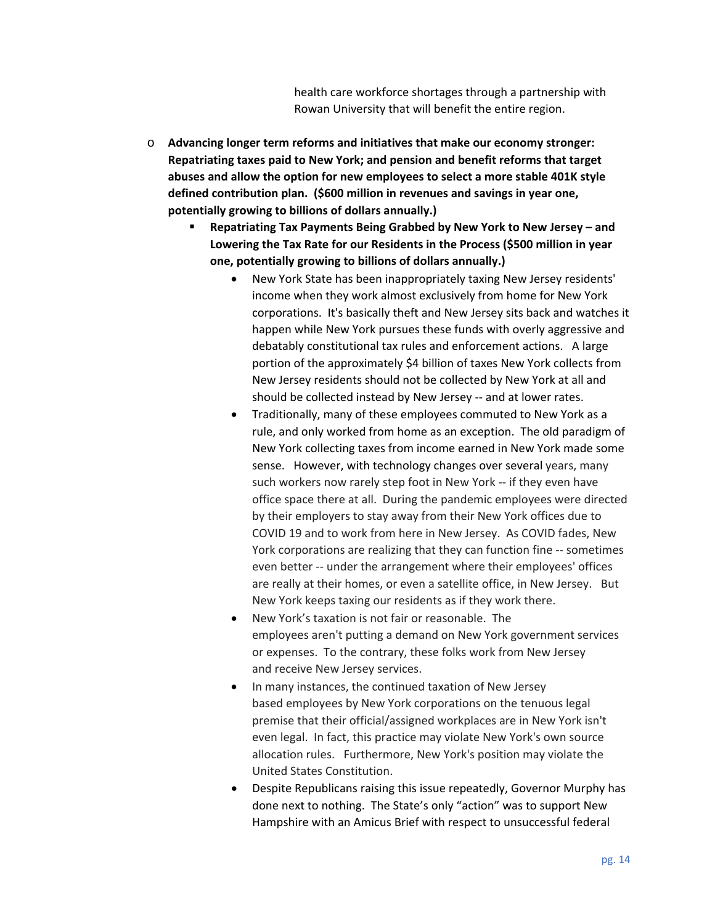health care workforce shortages through a partnership with Rowan University that will benefit the entire region.

- o **Advancing longer term reforms and initiatives that make our economy stronger: Repatriating taxes paid to New York; and pension and benefit reforms that target abuses and allow the option for new employees to select a more stable 401K style defined contribution plan. (\$600 million in revenues and savings in year one, potentially growing to billions of dollars annually.)** 
	- **Repatriating Tax Payments Being Grabbed by New York to New Jersey and Lowering the Tax Rate for our Residents in the Process (\$500 million in year one, potentially growing to billions of dollars annually.)** 
		- New York State has been inappropriately taxing New Jersey residents' income when they work almost exclusively from home for New York corporations. It's basically theft and New Jersey sits back and watches it happen while New York pursues these funds with overly aggressive and debatably constitutional tax rules and enforcement actions. A large portion of the approximately \$4 billion of taxes New York collects from New Jersey residents should not be collected by New York at all and should be collected instead by New Jersey -- and at lower rates.
		- Traditionally, many of these employees commuted to New York as a rule, and only worked from home as an exception. The old paradigm of New York collecting taxes from income earned in New York made some sense. However, with technology changes over several years, many such workers now rarely step foot in New York -- if they even have office space there at all. During the pandemic employees were directed by their employers to stay away from their New York offices due to COVID 19 and to work from here in New Jersey. As COVID fades, New York corporations are realizing that they can function fine -- sometimes even better -- under the arrangement where their employees' offices are really at their homes, or even a satellite office, in New Jersey. But New York keeps taxing our residents as if they work there.
		- New York's taxation is not fair or reasonable. The employees aren't putting a demand on New York government services or expenses. To the contrary, these folks work from New Jersey and receive New Jersey services.
		- In many instances, the continued taxation of New Jersey based employees by New York corporations on the tenuous legal premise that their official/assigned workplaces are in New York isn't even legal. In fact, this practice may violate New York's own source allocation rules. Furthermore, New York's position may violate the United States Constitution.
		- Despite Republicans raising this issue repeatedly, Governor Murphy has done next to nothing. The State's only "action" was to support New Hampshire with an Amicus Brief with respect to unsuccessful federal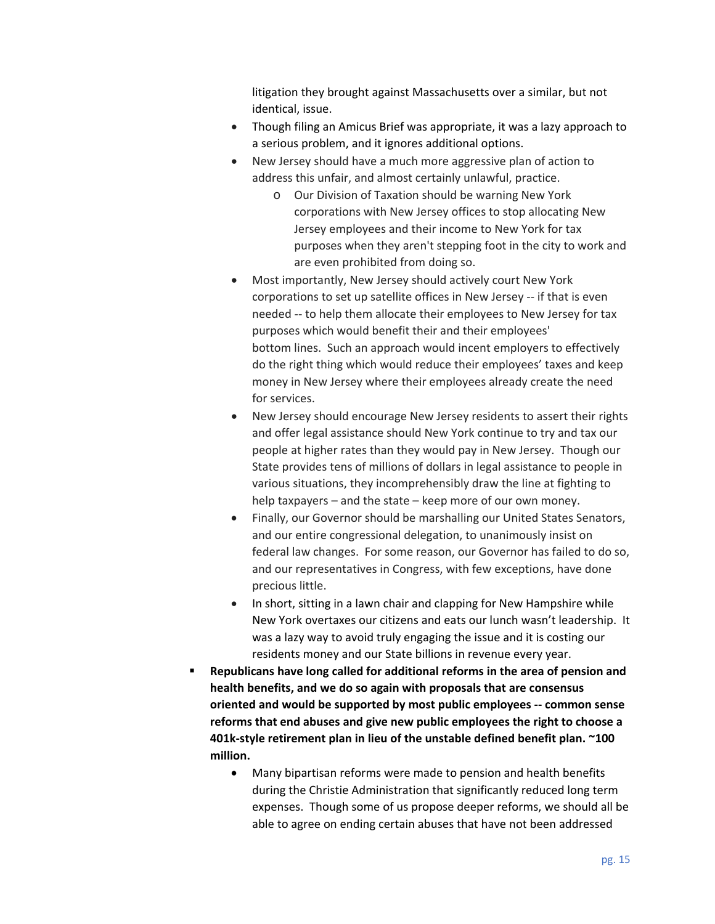litigation they brought against Massachusetts over a similar, but not identical, issue.

- Though filing an Amicus Brief was appropriate, it was a lazy approach to a serious problem, and it ignores additional options.
- New Jersey should have a much more aggressive plan of action to address this unfair, and almost certainly unlawful, practice.
	- o Our Division of Taxation should be warning New York corporations with New Jersey offices to stop allocating New Jersey employees and their income to New York for tax purposes when they aren't stepping foot in the city to work and are even prohibited from doing so.
- Most importantly, New Jersey should actively court New York corporations to set up satellite offices in New Jersey -- if that is even needed -- to help them allocate their employees to New Jersey for tax purposes which would benefit their and their employees' bottom lines. Such an approach would incent employers to effectively do the right thing which would reduce their employees' taxes and keep money in New Jersey where their employees already create the need for services.
- New Jersey should encourage New Jersey residents to assert their rights and offer legal assistance should New York continue to try and tax our people at higher rates than they would pay in New Jersey. Though our State provides tens of millions of dollars in legal assistance to people in various situations, they incomprehensibly draw the line at fighting to help taxpayers – and the state – keep more of our own money.
- Finally, our Governor should be marshalling our United States Senators, and our entire congressional delegation, to unanimously insist on federal law changes. For some reason, our Governor has failed to do so, and our representatives in Congress, with few exceptions, have done precious little.
- In short, sitting in a lawn chair and clapping for New Hampshire while New York overtaxes our citizens and eats our lunch wasn't leadership. It was a lazy way to avoid truly engaging the issue and it is costing our residents money and our State billions in revenue every year.
- **Republicans have long called for additional reforms in the area of pension and health benefits, and we do so again with proposals that are consensus oriented and would be supported by most public employees -- common sense reforms that end abuses and give new public employees the right to choose a 401k-style retirement plan in lieu of the unstable defined benefit plan. ~100 million.** 
	- Many bipartisan reforms were made to pension and health benefits during the Christie Administration that significantly reduced long term expenses. Though some of us propose deeper reforms, we should all be able to agree on ending certain abuses that have not been addressed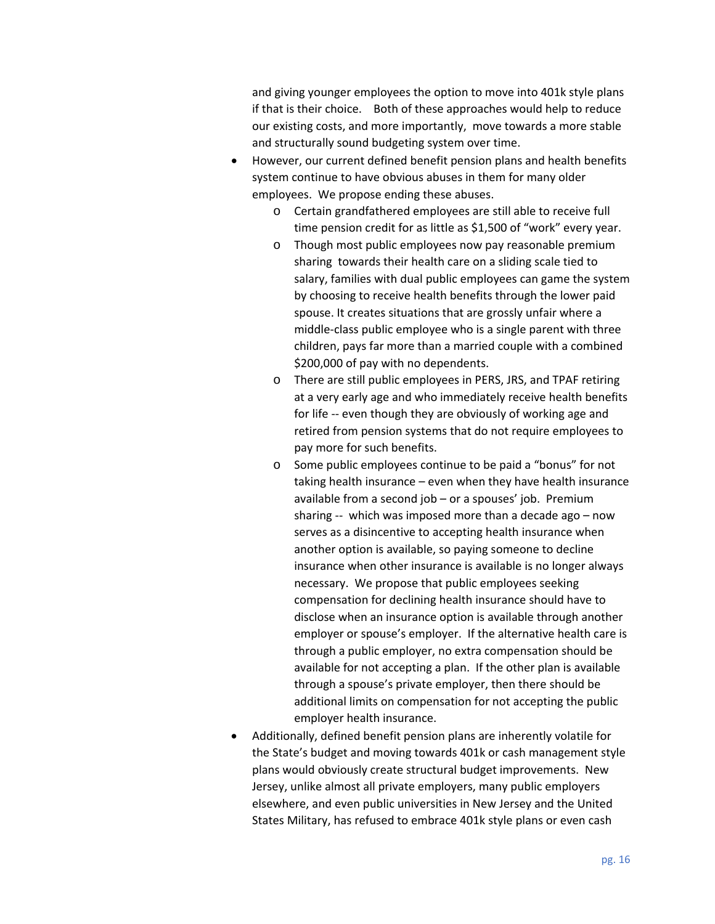and giving younger employees the option to move into 401k style plans if that is their choice. Both of these approaches would help to reduce our existing costs, and more importantly, move towards a more stable and structurally sound budgeting system over time.

- However, our current defined benefit pension plans and health benefits system continue to have obvious abuses in them for many older employees. We propose ending these abuses.
	- o Certain grandfathered employees are still able to receive full time pension credit for as little as \$1,500 of "work" every year.
	- o Though most public employees now pay reasonable premium sharing towards their health care on a sliding scale tied to salary, families with dual public employees can game the system by choosing to receive health benefits through the lower paid spouse. It creates situations that are grossly unfair where a middle-class public employee who is a single parent with three children, pays far more than a married couple with a combined \$200,000 of pay with no dependents.
	- o There are still public employees in PERS, JRS, and TPAF retiring at a very early age and who immediately receive health benefits for life -- even though they are obviously of working age and retired from pension systems that do not require employees to pay more for such benefits.
	- o Some public employees continue to be paid a "bonus" for not taking health insurance – even when they have health insurance available from a second job – or a spouses' job. Premium sharing  $-$  which was imposed more than a decade ago  $-$  now serves as a disincentive to accepting health insurance when another option is available, so paying someone to decline insurance when other insurance is available is no longer always necessary. We propose that public employees seeking compensation for declining health insurance should have to disclose when an insurance option is available through another employer or spouse's employer. If the alternative health care is through a public employer, no extra compensation should be available for not accepting a plan. If the other plan is available through a spouse's private employer, then there should be additional limits on compensation for not accepting the public employer health insurance.
- Additionally, defined benefit pension plans are inherently volatile for the State's budget and moving towards 401k or cash management style plans would obviously create structural budget improvements. New Jersey, unlike almost all private employers, many public employers elsewhere, and even public universities in New Jersey and the United States Military, has refused to embrace 401k style plans or even cash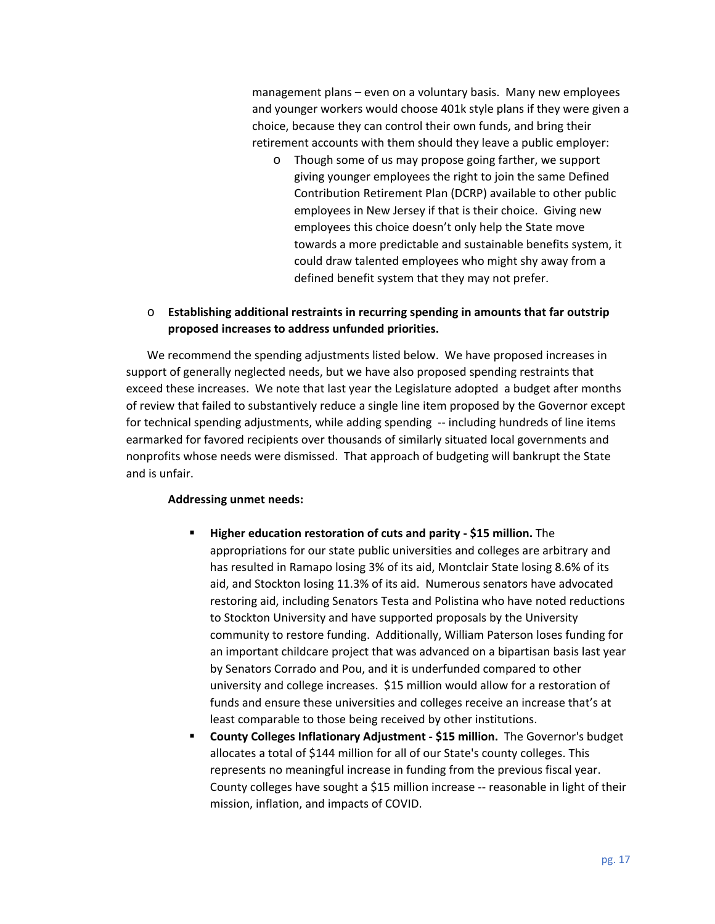management plans – even on a voluntary basis. Many new employees and younger workers would choose 401k style plans if they were given a choice, because they can control their own funds, and bring their retirement accounts with them should they leave a public employer:

o Though some of us may propose going farther, we support giving younger employees the right to join the same Defined Contribution Retirement Plan (DCRP) available to other public employees in New Jersey if that is their choice. Giving new employees this choice doesn't only help the State move towards a more predictable and sustainable benefits system, it could draw talented employees who might shy away from a defined benefit system that they may not prefer.

## o **Establishing additional restraints in recurring spending in amounts that far outstrip proposed increases to address unfunded priorities.**

We recommend the spending adjustments listed below. We have proposed increases in support of generally neglected needs, but we have also proposed spending restraints that exceed these increases. We note that last year the Legislature adopted a budget after months of review that failed to substantively reduce a single line item proposed by the Governor except for technical spending adjustments, while adding spending -- including hundreds of line items earmarked for favored recipients over thousands of similarly situated local governments and nonprofits whose needs were dismissed. That approach of budgeting will bankrupt the State and is unfair.

#### **Addressing unmet needs:**

- **Higher education restoration of cuts and parity \$15 million.** The appropriations for our state public universities and colleges are arbitrary and has resulted in Ramapo losing 3% of its aid, Montclair State losing 8.6% of its aid, and Stockton losing 11.3% of its aid. Numerous senators have advocated restoring aid, including Senators Testa and Polistina who have noted reductions to Stockton University and have supported proposals by the University community to restore funding. Additionally, William Paterson loses funding for an important childcare project that was advanced on a bipartisan basis last year by Senators Corrado and Pou, and it is underfunded compared to other university and college increases. \$15 million would allow for a restoration of funds and ensure these universities and colleges receive an increase that's at least comparable to those being received by other institutions.
- **County Colleges Inflationary Adjustment \$15 million.** The Governor's budget allocates a total of \$144 million for all of our State's county colleges. This represents no meaningful increase in funding from the previous fiscal year. County colleges have sought a \$15 million increase -- reasonable in light of their mission, inflation, and impacts of COVID.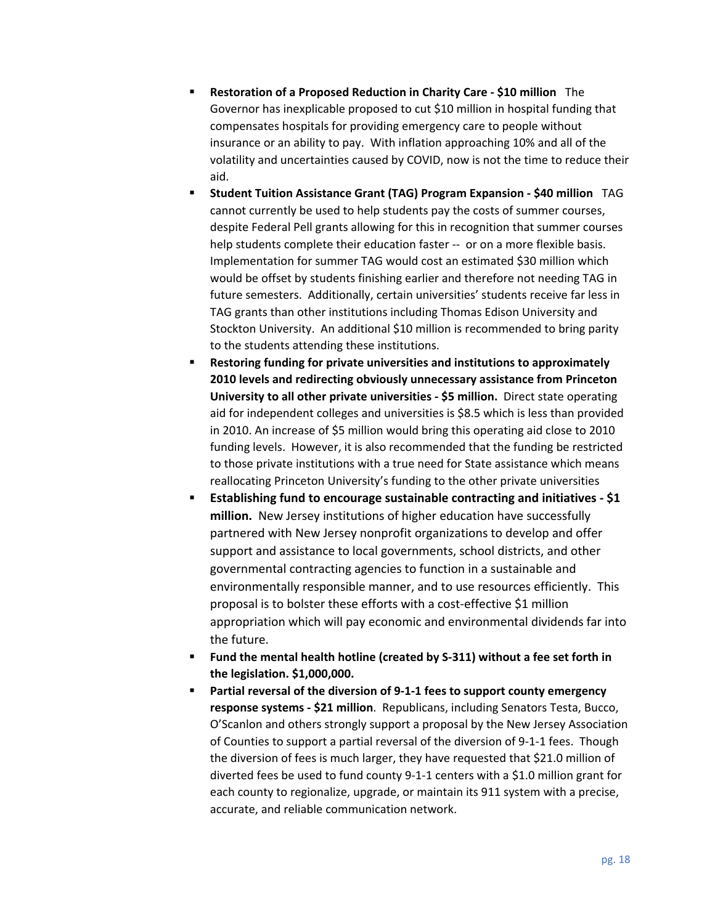- **Restoration of a Proposed Reduction in Charity Care \$10 million** The Governor has inexplicable proposed to cut \$10 million in hospital funding that compensates hospitals for providing emergency care to people without insurance or an ability to pay. With inflation approaching 10% and all of the volatility and uncertainties caused by COVID, now is not the time to reduce their aid.
- **Student Tuition Assistance Grant (TAG) Program Expansion \$40 million** TAG cannot currently be used to help students pay the costs of summer courses, despite Federal Pell grants allowing for this in recognition that summer courses help students complete their education faster -- or on a more flexible basis. Implementation for summer TAG would cost an estimated \$30 million which would be offset by students finishing earlier and therefore not needing TAG in future semesters. Additionally, certain universities' students receive far less in TAG grants than other institutions including Thomas Edison University and Stockton University. An additional \$10 million is recommended to bring parity to the students attending these institutions.
- **Restoring funding for private universities and institutions to approximately 2010 levels and redirecting obviously unnecessary assistance from Princeton University to all other private universities - \$5 million.** Direct state operating aid for independent colleges and universities is \$8.5 which is less than provided in 2010. An increase of \$5 million would bring this operating aid close to 2010 funding levels. However, it is also recommended that the funding be restricted to those private institutions with a true need for State assistance which means reallocating Princeton University's funding to the other private universities
- **Establishing fund to encourage sustainable contracting and initiatives \$1 million.** New Jersey institutions of higher education have successfully partnered with New Jersey nonprofit organizations to develop and offer support and assistance to local governments, school districts, and other governmental contracting agencies to function in a sustainable and environmentally responsible manner, and to use resources efficiently. This proposal is to bolster these efforts with a cost-effective \$1 million appropriation which will pay economic and environmental dividends far into the future.
- **Fund the mental health hotline (created by S-311) without a fee set forth in the legislation. \$1,000,000.**
- **Partial reversal of the diversion of 9-1-1 fees to support county emergency response systems - \$21 million**. Republicans, including Senators Testa, Bucco, O'Scanlon and others strongly support a proposal by the New Jersey Association of Counties to support a partial reversal of the diversion of 9-1-1 fees. Though the diversion of fees is much larger, they have requested that \$21.0 million of diverted fees be used to fund county 9-1-1 centers with a \$1.0 million grant for each county to regionalize, upgrade, or maintain its 911 system with a precise, accurate, and reliable communication network.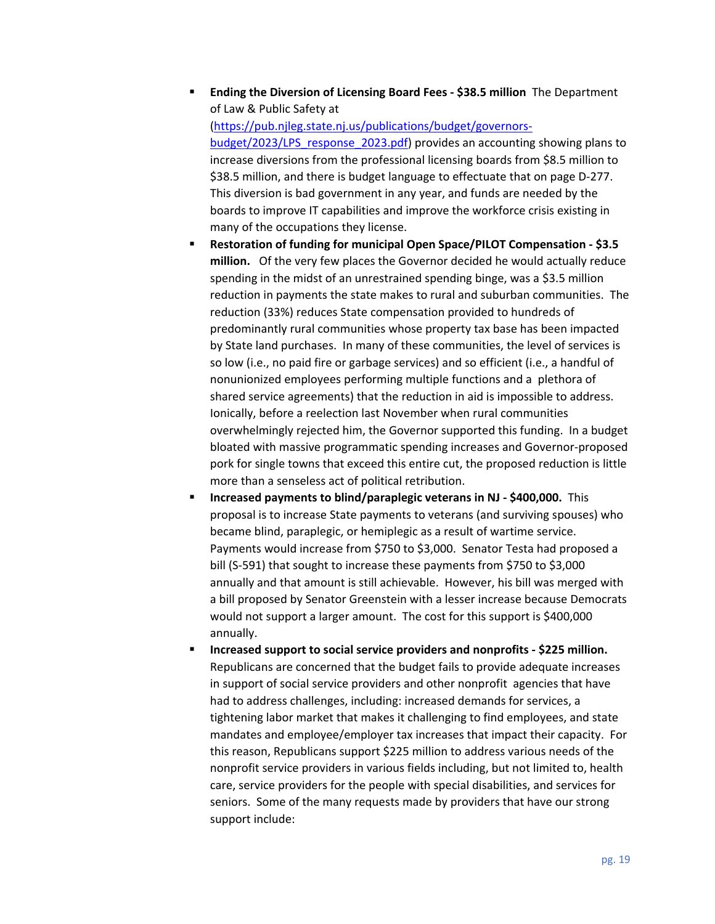**Ending the Diversion of Licensing Board Fees - \$38.5 million** The Department of Law & Public Safety at

(https://pub.njleg.state.nj.us/publications/budget/governorsbudget/2023/LPS\_response\_2023.pdf) provides an accounting showing plans to increase diversions from the professional licensing boards from \$8.5 million to \$38.5 million, and there is budget language to effectuate that on page D-277. This diversion is bad government in any year, and funds are needed by the boards to improve IT capabilities and improve the workforce crisis existing in many of the occupations they license.

- **Restoration of funding for municipal Open Space/PILOT Compensation \$3.5 million.** Of the very few places the Governor decided he would actually reduce spending in the midst of an unrestrained spending binge, was a \$3.5 million reduction in payments the state makes to rural and suburban communities. The reduction (33%) reduces State compensation provided to hundreds of predominantly rural communities whose property tax base has been impacted by State land purchases. In many of these communities, the level of services is so low (i.e., no paid fire or garbage services) and so efficient (i.e., a handful of nonunionized employees performing multiple functions and a plethora of shared service agreements) that the reduction in aid is impossible to address. Ionically, before a reelection last November when rural communities overwhelmingly rejected him, the Governor supported this funding. In a budget bloated with massive programmatic spending increases and Governor-proposed pork for single towns that exceed this entire cut, the proposed reduction is little more than a senseless act of political retribution.
- **Increased payments to blind/paraplegic veterans in NJ \$400,000.** This proposal is to increase State payments to veterans (and surviving spouses) who became blind, paraplegic, or hemiplegic as a result of wartime service. Payments would increase from \$750 to \$3,000. Senator Testa had proposed a bill (S-591) that sought to increase these payments from \$750 to \$3,000 annually and that amount is still achievable. However, his bill was merged with a bill proposed by Senator Greenstein with a lesser increase because Democrats would not support a larger amount. The cost for this support is \$400,000 annually.
- **Increased support to social service providers and nonprofits \$225 million.**  Republicans are concerned that the budget fails to provide adequate increases in support of social service providers and other nonprofit agencies that have had to address challenges, including: increased demands for services, a tightening labor market that makes it challenging to find employees, and state mandates and employee/employer tax increases that impact their capacity. For this reason, Republicans support \$225 million to address various needs of the nonprofit service providers in various fields including, but not limited to, health care, service providers for the people with special disabilities, and services for seniors. Some of the many requests made by providers that have our strong support include: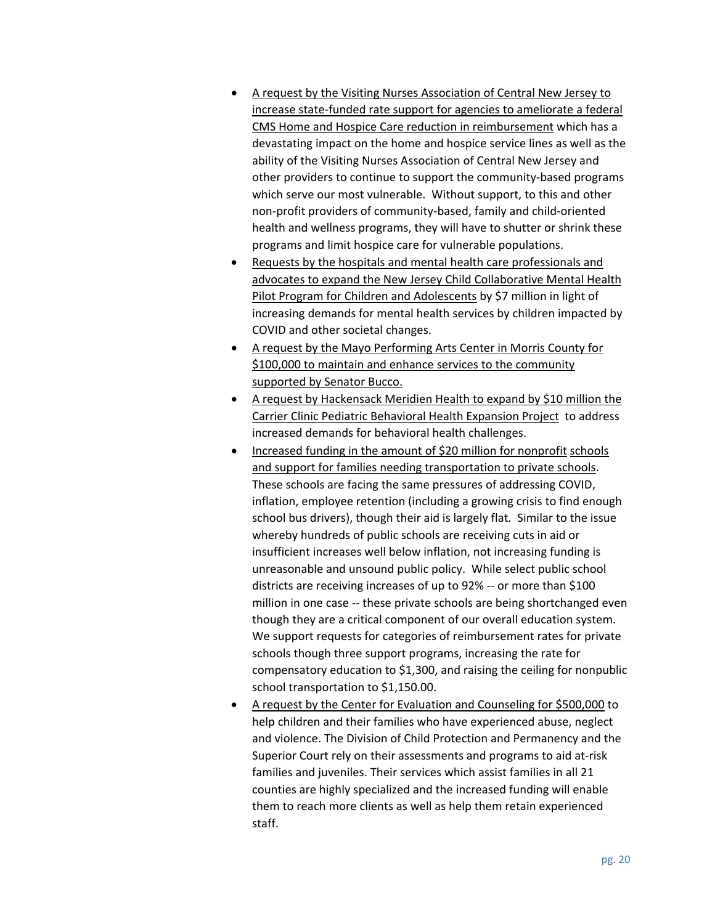- A request by the Visiting Nurses Association of Central New Jersey to increase state-funded rate support for agencies to ameliorate a federal CMS Home and Hospice Care reduction in reimbursement which has a devastating impact on the home and hospice service lines as well as the ability of the Visiting Nurses Association of Central New Jersey and other providers to continue to support the community-based programs which serve our most vulnerable. Without support, to this and other non-profit providers of community-based, family and child-oriented health and wellness programs, they will have to shutter or shrink these programs and limit hospice care for vulnerable populations.
- Requests by the hospitals and mental health care professionals and advocates to expand the New Jersey Child Collaborative Mental Health Pilot Program for Children and Adolescents by \$7 million in light of increasing demands for mental health services by children impacted by COVID and other societal changes.
- A request by the Mayo Performing Arts Center in Morris County for \$100,000 to maintain and enhance services to the community supported by Senator Bucco.
- A request by Hackensack Meridien Health to expand by \$10 million the Carrier Clinic Pediatric Behavioral Health Expansion Project to address increased demands for behavioral health challenges.
- Increased funding in the amount of \$20 million for nonprofit schools and support for families needing transportation to private schools. These schools are facing the same pressures of addressing COVID, inflation, employee retention (including a growing crisis to find enough school bus drivers), though their aid is largely flat. Similar to the issue whereby hundreds of public schools are receiving cuts in aid or insufficient increases well below inflation, not increasing funding is unreasonable and unsound public policy. While select public school districts are receiving increases of up to 92% -- or more than \$100 million in one case -- these private schools are being shortchanged even though they are a critical component of our overall education system. We support requests for categories of reimbursement rates for private schools though three support programs, increasing the rate for compensatory education to \$1,300, and raising the ceiling for nonpublic school transportation to \$1,150.00.
- A request by the Center for Evaluation and Counseling for \$500,000 to help children and their families who have experienced abuse, neglect and violence. The Division of Child Protection and Permanency and the Superior Court rely on their assessments and programs to aid at-risk families and juveniles. Their services which assist families in all 21 counties are highly specialized and the increased funding will enable them to reach more clients as well as help them retain experienced staff.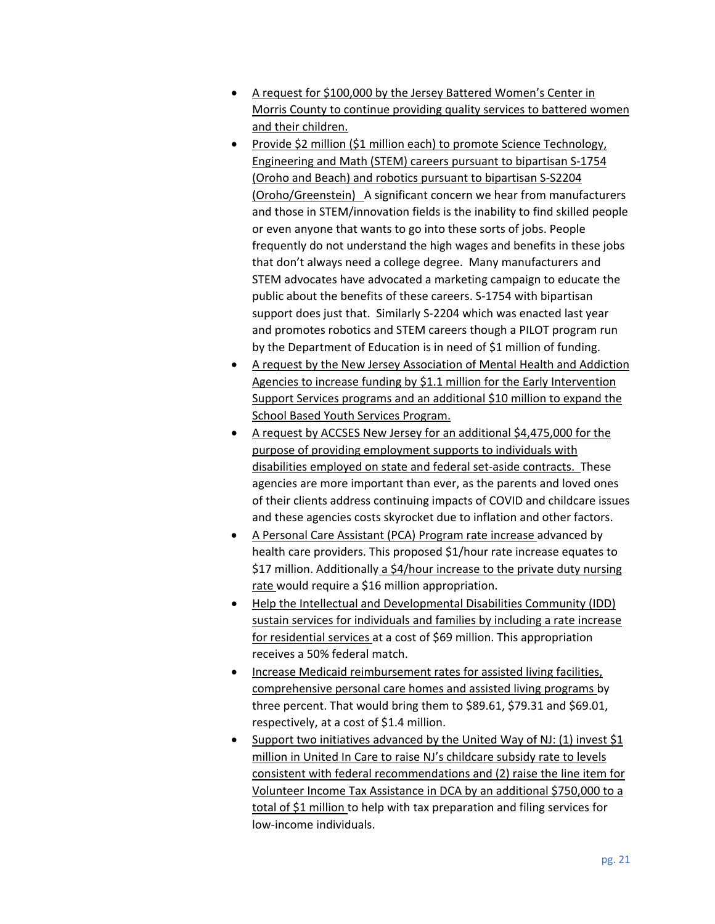- A request for \$100,000 by the Jersey Battered Women's Center in Morris County to continue providing quality services to battered women and their children.
- Provide \$2 million (\$1 million each) to promote Science Technology, Engineering and Math (STEM) careers pursuant to bipartisan S-1754 (Oroho and Beach) and robotics pursuant to bipartisan S-S2204 (Oroho/Greenstein) A significant concern we hear from manufacturers and those in STEM/innovation fields is the inability to find skilled people or even anyone that wants to go into these sorts of jobs. People frequently do not understand the high wages and benefits in these jobs that don't always need a college degree. Many manufacturers and STEM advocates have advocated a marketing campaign to educate the public about the benefits of these careers. S-1754 with bipartisan support does just that. Similarly S-2204 which was enacted last year and promotes robotics and STEM careers though a PILOT program run by the Department of Education is in need of \$1 million of funding.
- A request by the New Jersey Association of Mental Health and Addiction Agencies to increase funding by \$1.1 million for the Early Intervention Support Services programs and an additional \$10 million to expand the School Based Youth Services Program.
- A request by ACCSES New Jersey for an additional \$4,475,000 for the purpose of providing employment supports to individuals with disabilities employed on state and federal set-aside contracts. These agencies are more important than ever, as the parents and loved ones of their clients address continuing impacts of COVID and childcare issues and these agencies costs skyrocket due to inflation and other factors.
- A Personal Care Assistant (PCA) Program rate increase advanced by health care providers. This proposed \$1/hour rate increase equates to \$17 million. Additionally a \$4/hour increase to the private duty nursing rate would require a \$16 million appropriation.
- Help the Intellectual and Developmental Disabilities Community (IDD) sustain services for individuals and families by including a rate increase for residential services at a cost of \$69 million. This appropriation receives a 50% federal match.
- Increase Medicaid reimbursement rates for assisted living facilities, comprehensive personal care homes and assisted living programs by three percent. That would bring them to \$89.61, \$79.31 and \$69.01, respectively, at a cost of \$1.4 million.
- Support two initiatives advanced by the United Way of NJ: (1) invest \$1 million in United In Care to raise NJ's childcare subsidy rate to levels consistent with federal recommendations and (2) raise the line item for Volunteer Income Tax Assistance in DCA by an additional \$750,000 to a total of \$1 million to help with tax preparation and filing services for low-income individuals.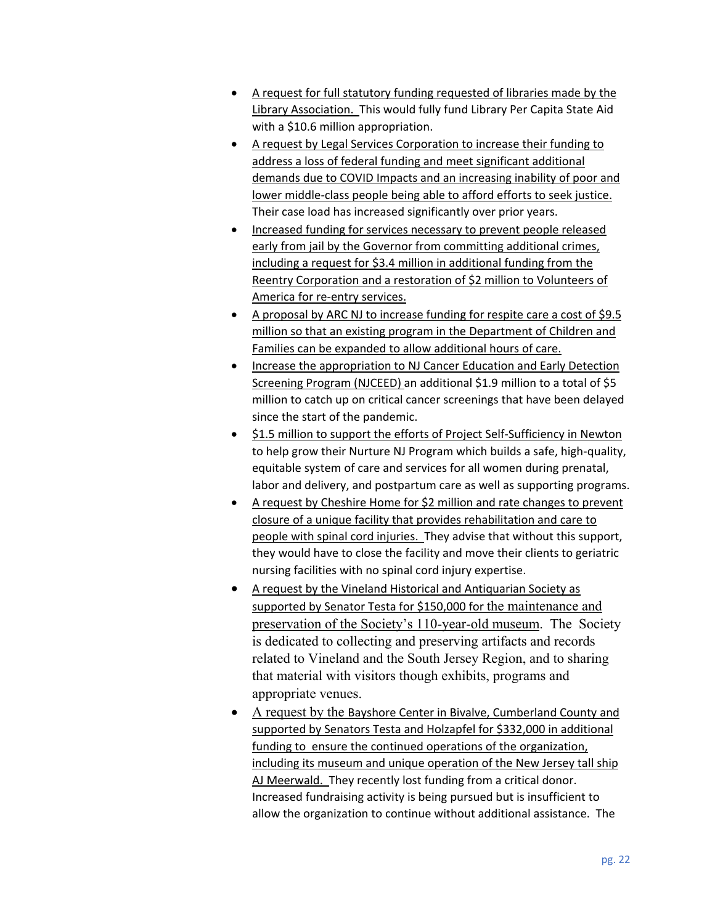- A request for full statutory funding requested of libraries made by the Library Association. This would fully fund Library Per Capita State Aid with a \$10.6 million appropriation.
- A request by Legal Services Corporation to increase their funding to address a loss of federal funding and meet significant additional demands due to COVID Impacts and an increasing inability of poor and lower middle-class people being able to afford efforts to seek justice. Their case load has increased significantly over prior years.
- Increased funding for services necessary to prevent people released early from jail by the Governor from committing additional crimes, including a request for \$3.4 million in additional funding from the Reentry Corporation and a restoration of \$2 million to Volunteers of America for re-entry services.
- A proposal by ARC NJ to increase funding for respite care a cost of \$9.5 million so that an existing program in the Department of Children and Families can be expanded to allow additional hours of care.
- **Increase the appropriation to NJ Cancer Education and Early Detection** Screening Program (NJCEED) an additional \$1.9 million to a total of \$5 million to catch up on critical cancer screenings that have been delayed since the start of the pandemic.
- $\bullet$  \$1.5 million to support the efforts of Project Self-Sufficiency in Newton to help grow their Nurture NJ Program which builds a safe, high-quality, equitable system of care and services for all women during prenatal, labor and delivery, and postpartum care as well as supporting programs.
- A request by Cheshire Home for \$2 million and rate changes to prevent closure of a unique facility that provides rehabilitation and care to people with spinal cord injuries. They advise that without this support, they would have to close the facility and move their clients to geriatric nursing facilities with no spinal cord injury expertise.
- A request by the Vineland Historical and Antiquarian Society as supported by Senator Testa for \$150,000 for the maintenance and preservation of the Society's 110-year-old museum. The Society is dedicated to collecting and preserving artifacts and records related to Vineland and the South Jersey Region, and to sharing that material with visitors though exhibits, programs and appropriate venues.
- A request by the Bayshore Center in Bivalve, Cumberland County and supported by Senators Testa and Holzapfel for \$332,000 in additional funding to ensure the continued operations of the organization, including its museum and unique operation of the New Jersey tall ship AJ Meerwald. They recently lost funding from a critical donor. Increased fundraising activity is being pursued but is insufficient to allow the organization to continue without additional assistance. The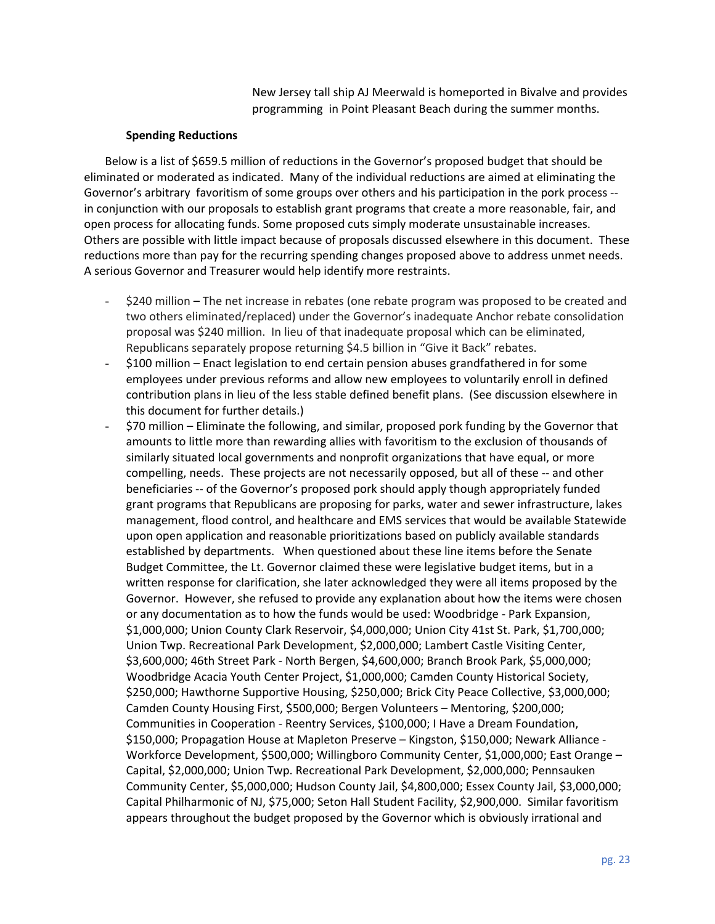New Jersey tall ship AJ Meerwald is homeported in Bivalve and provides programming in Point Pleasant Beach during the summer months.

#### **Spending Reductions**

Below is a list of \$659.5 million of reductions in the Governor's proposed budget that should be eliminated or moderated as indicated. Many of the individual reductions are aimed at eliminating the Governor's arbitrary favoritism of some groups over others and his participation in the pork process - in conjunction with our proposals to establish grant programs that create a more reasonable, fair, and open process for allocating funds. Some proposed cuts simply moderate unsustainable increases. Others are possible with little impact because of proposals discussed elsewhere in this document. These reductions more than pay for the recurring spending changes proposed above to address unmet needs. A serious Governor and Treasurer would help identify more restraints.

- \$240 million The net increase in rebates (one rebate program was proposed to be created and two others eliminated/replaced) under the Governor's inadequate Anchor rebate consolidation proposal was \$240 million. In lieu of that inadequate proposal which can be eliminated, Republicans separately propose returning \$4.5 billion in "Give it Back" rebates.
- \$100 million Enact legislation to end certain pension abuses grandfathered in for some employees under previous reforms and allow new employees to voluntarily enroll in defined contribution plans in lieu of the less stable defined benefit plans. (See discussion elsewhere in this document for further details.)
- \$70 million Eliminate the following, and similar, proposed pork funding by the Governor that amounts to little more than rewarding allies with favoritism to the exclusion of thousands of similarly situated local governments and nonprofit organizations that have equal, or more compelling, needs. These projects are not necessarily opposed, but all of these -- and other beneficiaries -- of the Governor's proposed pork should apply though appropriately funded grant programs that Republicans are proposing for parks, water and sewer infrastructure, lakes management, flood control, and healthcare and EMS services that would be available Statewide upon open application and reasonable prioritizations based on publicly available standards established by departments. When questioned about these line items before the Senate Budget Committee, the Lt. Governor claimed these were legislative budget items, but in a written response for clarification, she later acknowledged they were all items proposed by the Governor. However, she refused to provide any explanation about how the items were chosen or any documentation as to how the funds would be used: Woodbridge - Park Expansion, \$1,000,000; Union County Clark Reservoir, \$4,000,000; Union City 41st St. Park, \$1,700,000; Union Twp. Recreational Park Development, \$2,000,000; Lambert Castle Visiting Center, \$3,600,000; 46th Street Park - North Bergen, \$4,600,000; Branch Brook Park, \$5,000,000; Woodbridge Acacia Youth Center Project, \$1,000,000; Camden County Historical Society, \$250,000; Hawthorne Supportive Housing, \$250,000; Brick City Peace Collective, \$3,000,000; Camden County Housing First, \$500,000; Bergen Volunteers – Mentoring, \$200,000; Communities in Cooperation - Reentry Services, \$100,000; I Have a Dream Foundation, \$150,000; Propagation House at Mapleton Preserve – Kingston, \$150,000; Newark Alliance - Workforce Development, \$500,000; Willingboro Community Center, \$1,000,000; East Orange – Capital, \$2,000,000; Union Twp. Recreational Park Development, \$2,000,000; Pennsauken Community Center, \$5,000,000; Hudson County Jail, \$4,800,000; Essex County Jail, \$3,000,000; Capital Philharmonic of NJ, \$75,000; Seton Hall Student Facility, \$2,900,000. Similar favoritism appears throughout the budget proposed by the Governor which is obviously irrational and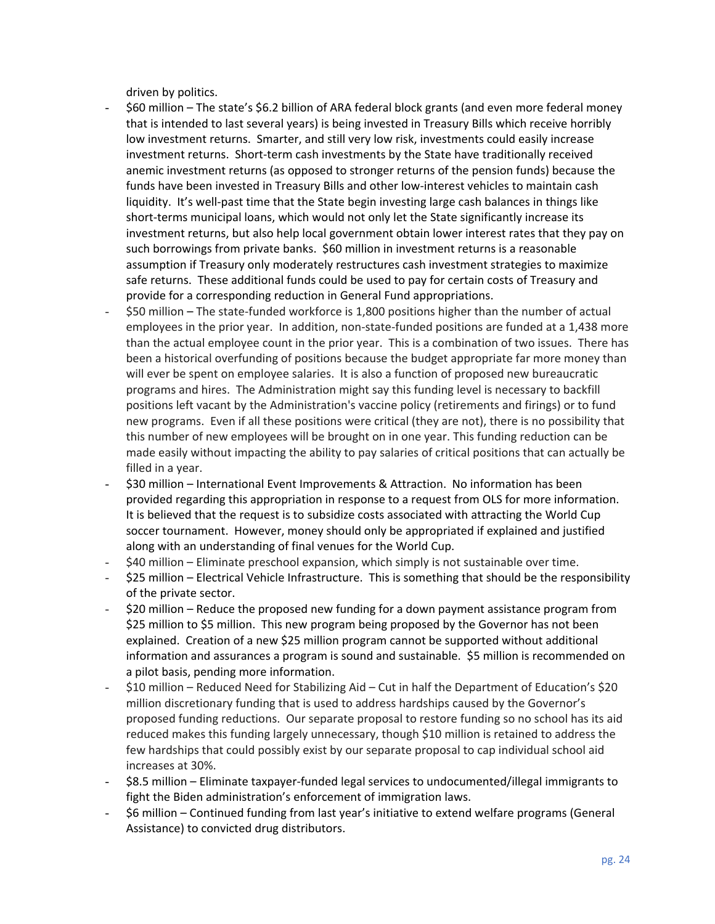driven by politics.

- \$60 million The state's \$6.2 billion of ARA federal block grants (and even more federal money that is intended to last several years) is being invested in Treasury Bills which receive horribly low investment returns. Smarter, and still very low risk, investments could easily increase investment returns. Short-term cash investments by the State have traditionally received anemic investment returns (as opposed to stronger returns of the pension funds) because the funds have been invested in Treasury Bills and other low-interest vehicles to maintain cash liquidity. It's well-past time that the State begin investing large cash balances in things like short-terms municipal loans, which would not only let the State significantly increase its investment returns, but also help local government obtain lower interest rates that they pay on such borrowings from private banks. \$60 million in investment returns is a reasonable assumption if Treasury only moderately restructures cash investment strategies to maximize safe returns. These additional funds could be used to pay for certain costs of Treasury and provide for a corresponding reduction in General Fund appropriations.
- \$50 million The state-funded workforce is 1,800 positions higher than the number of actual employees in the prior year. In addition, non-state-funded positions are funded at a 1,438 more than the actual employee count in the prior year. This is a combination of two issues. There has been a historical overfunding of positions because the budget appropriate far more money than will ever be spent on employee salaries. It is also a function of proposed new bureaucratic programs and hires. The Administration might say this funding level is necessary to backfill positions left vacant by the Administration's vaccine policy (retirements and firings) or to fund new programs. Even if all these positions were critical (they are not), there is no possibility that this number of new employees will be brought on in one year. This funding reduction can be made easily without impacting the ability to pay salaries of critical positions that can actually be filled in a year.
- \$30 million International Event Improvements & Attraction. No information has been provided regarding this appropriation in response to a request from OLS for more information. It is believed that the request is to subsidize costs associated with attracting the World Cup soccer tournament. However, money should only be appropriated if explained and justified along with an understanding of final venues for the World Cup.
- \$40 million Eliminate preschool expansion, which simply is not sustainable over time.
- \$25 million Electrical Vehicle Infrastructure. This is something that should be the responsibility of the private sector.
- \$20 million Reduce the proposed new funding for a down payment assistance program from \$25 million to \$5 million. This new program being proposed by the Governor has not been explained. Creation of a new \$25 million program cannot be supported without additional information and assurances a program is sound and sustainable. \$5 million is recommended on a pilot basis, pending more information.
- \$10 million Reduced Need for Stabilizing Aid Cut in half the Department of Education's \$20 million discretionary funding that is used to address hardships caused by the Governor's proposed funding reductions. Our separate proposal to restore funding so no school has its aid reduced makes this funding largely unnecessary, though \$10 million is retained to address the few hardships that could possibly exist by our separate proposal to cap individual school aid increases at 30%.
- \$8.5 million Eliminate taxpayer-funded legal services to undocumented/illegal immigrants to fight the Biden administration's enforcement of immigration laws.
- \$6 million Continued funding from last year's initiative to extend welfare programs (General Assistance) to convicted drug distributors.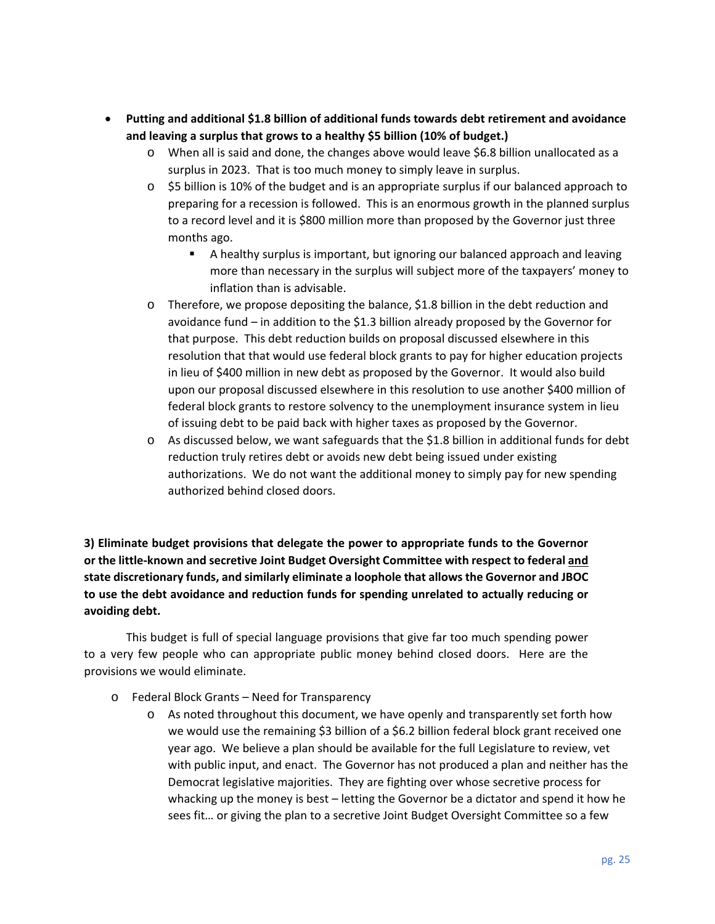- **Putting and additional \$1.8 billion of additional funds towards debt retirement and avoidance and leaving a surplus that grows to a healthy \$5 billion (10% of budget.)** 
	- o When all is said and done, the changes above would leave \$6.8 billion unallocated as a surplus in 2023. That is too much money to simply leave in surplus.
	- $\circ$  \$5 billion is 10% of the budget and is an appropriate surplus if our balanced approach to preparing for a recession is followed. This is an enormous growth in the planned surplus to a record level and it is \$800 million more than proposed by the Governor just three months ago.
		- A healthy surplus is important, but ignoring our balanced approach and leaving more than necessary in the surplus will subject more of the taxpayers' money to inflation than is advisable.
	- o Therefore, we propose depositing the balance, \$1.8 billion in the debt reduction and avoidance fund – in addition to the \$1.3 billion already proposed by the Governor for that purpose. This debt reduction builds on proposal discussed elsewhere in this resolution that that would use federal block grants to pay for higher education projects in lieu of \$400 million in new debt as proposed by the Governor. It would also build upon our proposal discussed elsewhere in this resolution to use another \$400 million of federal block grants to restore solvency to the unemployment insurance system in lieu of issuing debt to be paid back with higher taxes as proposed by the Governor.
	- $\circ$  As discussed below, we want safeguards that the \$1.8 billion in additional funds for debt reduction truly retires debt or avoids new debt being issued under existing authorizations. We do not want the additional money to simply pay for new spending authorized behind closed doors.

**3) Eliminate budget provisions that delegate the power to appropriate funds to the Governor or the little-known and secretive Joint Budget Oversight Committee with respect to federal and state discretionary funds, and similarly eliminate a loophole that allows the Governor and JBOC to use the debt avoidance and reduction funds for spending unrelated to actually reducing or avoiding debt.** 

This budget is full of special language provisions that give far too much spending power to a very few people who can appropriate public money behind closed doors. Here are the provisions we would eliminate.

- o Federal Block Grants Need for Transparency
	- $\circ$  As noted throughout this document, we have openly and transparently set forth how we would use the remaining \$3 billion of a \$6.2 billion federal block grant received one year ago. We believe a plan should be available for the full Legislature to review, vet with public input, and enact. The Governor has not produced a plan and neither has the Democrat legislative majorities. They are fighting over whose secretive process for whacking up the money is best – letting the Governor be a dictator and spend it how he sees fit… or giving the plan to a secretive Joint Budget Oversight Committee so a few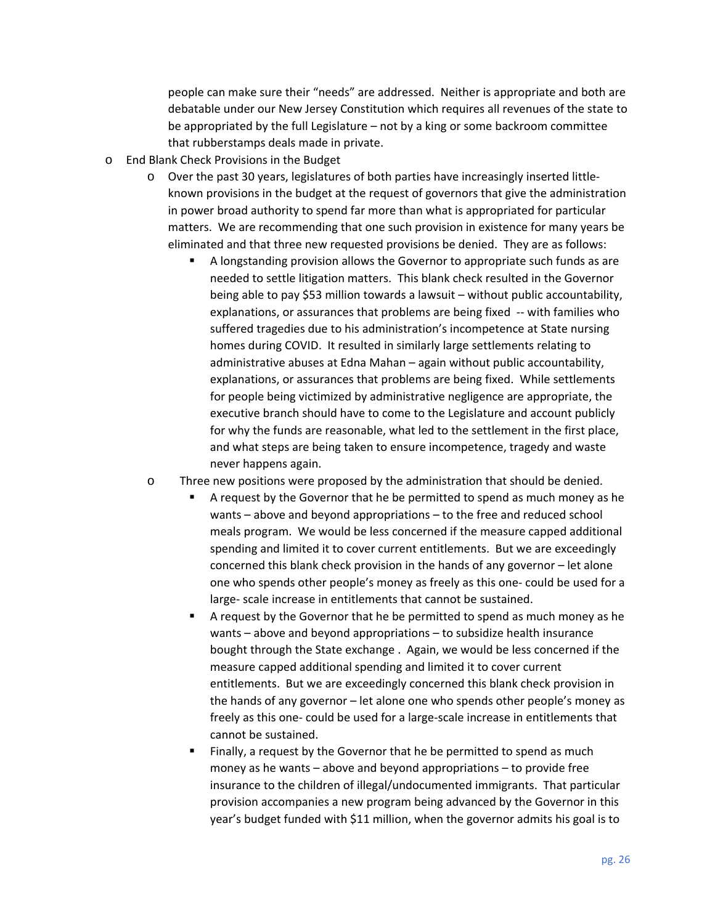people can make sure their "needs" are addressed. Neither is appropriate and both are debatable under our New Jersey Constitution which requires all revenues of the state to be appropriated by the full Legislature – not by a king or some backroom committee that rubberstamps deals made in private.

- o End Blank Check Provisions in the Budget
	- o Over the past 30 years, legislatures of both parties have increasingly inserted littleknown provisions in the budget at the request of governors that give the administration in power broad authority to spend far more than what is appropriated for particular matters. We are recommending that one such provision in existence for many years be eliminated and that three new requested provisions be denied. They are as follows:
		- A longstanding provision allows the Governor to appropriate such funds as are needed to settle litigation matters. This blank check resulted in the Governor being able to pay \$53 million towards a lawsuit – without public accountability, explanations, or assurances that problems are being fixed -- with families who suffered tragedies due to his administration's incompetence at State nursing homes during COVID. It resulted in similarly large settlements relating to administrative abuses at Edna Mahan – again without public accountability, explanations, or assurances that problems are being fixed. While settlements for people being victimized by administrative negligence are appropriate, the executive branch should have to come to the Legislature and account publicly for why the funds are reasonable, what led to the settlement in the first place, and what steps are being taken to ensure incompetence, tragedy and waste never happens again.
	- o Three new positions were proposed by the administration that should be denied.
		- A request by the Governor that he be permitted to spend as much money as he wants – above and beyond appropriations – to the free and reduced school meals program. We would be less concerned if the measure capped additional spending and limited it to cover current entitlements. But we are exceedingly concerned this blank check provision in the hands of any governor – let alone one who spends other people's money as freely as this one- could be used for a large- scale increase in entitlements that cannot be sustained.
		- A request by the Governor that he be permitted to spend as much money as he wants – above and beyond appropriations – to subsidize health insurance bought through the State exchange . Again, we would be less concerned if the measure capped additional spending and limited it to cover current entitlements. But we are exceedingly concerned this blank check provision in the hands of any governor – let alone one who spends other people's money as freely as this one- could be used for a large-scale increase in entitlements that cannot be sustained.
		- Finally, a request by the Governor that he be permitted to spend as much money as he wants – above and beyond appropriations – to provide free insurance to the children of illegal/undocumented immigrants. That particular provision accompanies a new program being advanced by the Governor in this year's budget funded with \$11 million, when the governor admits his goal is to